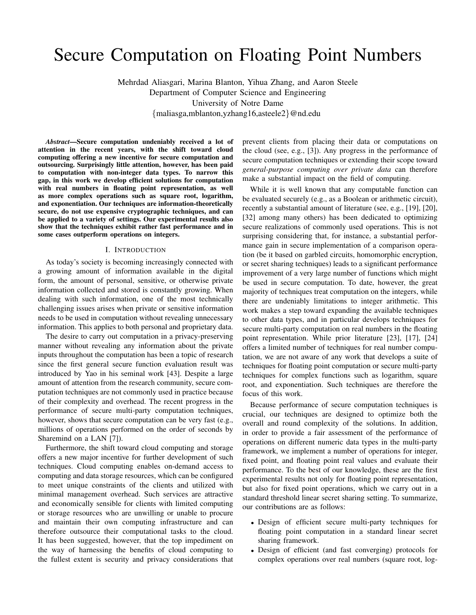# Secure Computation on Floating Point Numbers

Mehrdad Aliasgari, Marina Blanton, Yihua Zhang, and Aaron Steele Department of Computer Science and Engineering University of Notre Dame {maliasga,mblanton,yzhang16,asteele2}@nd.edu

*Abstract*—Secure computation undeniably received a lot of attention in the recent years, with the shift toward cloud computing offering a new incentive for secure computation and outsourcing. Surprisingly little attention, however, has been paid to computation with non-integer data types. To narrow this gap, in this work we develop efficient solutions for computation with real numbers in floating point representation, as well as more complex operations such as square root, logarithm, and exponentiation. Our techniques are information-theoretically secure, do not use expensive cryptographic techniques, and can be applied to a variety of settings. Our experimental results also show that the techniques exhibit rather fast performance and in some cases outperform operations on integers.

#### I. INTRODUCTION

As today's society is becoming increasingly connected with a growing amount of information available in the digital form, the amount of personal, sensitive, or otherwise private information collected and stored is constantly growing. When dealing with such information, one of the most technically challenging issues arises when private or sensitive information needs to be used in computation without revealing unnecessary information. This applies to both personal and proprietary data.

The desire to carry out computation in a privacy-preserving manner without revealing any information about the private inputs throughout the computation has been a topic of research since the first general secure function evaluation result was introduced by Yao in his seminal work [43]. Despite a large amount of attention from the research community, secure computation techniques are not commonly used in practice because of their complexity and overhead. The recent progress in the performance of secure multi-party computation techniques, however, shows that secure computation can be very fast (e.g., millions of operations performed on the order of seconds by Sharemind on a LAN [7]).

Furthermore, the shift toward cloud computing and storage offers a new major incentive for further development of such techniques. Cloud computing enables on-demand access to computing and data storage resources, which can be configured to meet unique constraints of the clients and utilized with minimal management overhead. Such services are attractive and economically sensible for clients with limited computing or storage resources who are unwilling or unable to procure and maintain their own computing infrastructure and can therefore outsource their computational tasks to the cloud. It has been suggested, however, that the top impediment on the way of harnessing the benefits of cloud computing to the fullest extent is security and privacy considerations that

prevent clients from placing their data or computations on the cloud (see, e.g., [3]). Any progress in the performance of secure computation techniques or extending their scope toward *general-purpose computing over private data* can therefore make a substantial impact on the field of computing.

While it is well known that any computable function can be evaluated securely (e.g., as a Boolean or arithmetic circuit), recently a substantial amount of literature (see, e.g., [19], [20], [32] among many others) has been dedicated to optimizing secure realizations of commonly used operations. This is not surprising considering that, for instance, a substantial performance gain in secure implementation of a comparison operation (be it based on garbled circuits, homomorphic encryption, or secret sharing techniques) leads to a significant performance improvement of a very large number of functions which might be used in secure computation. To date, however, the great majority of techniques treat computation on the integers, while there are undeniably limitations to integer arithmetic. This work makes a step toward expanding the available techniques to other data types, and in particular develops techniques for secure multi-party computation on real numbers in the floating point representation. While prior literature [23], [17], [24] offers a limited number of techniques for real number computation, we are not aware of any work that develops a suite of techniques for floating point computation or secure multi-party techniques for complex functions such as logarithm, square root, and exponentiation. Such techniques are therefore the focus of this work.

Because performance of secure computation techniques is crucial, our techniques are designed to optimize both the overall and round complexity of the solutions. In addition, in order to provide a fair assessment of the performance of operations on different numeric data types in the multi-party framework, we implement a number of operations for integer, fixed point, and floating point real values and evaluate their performance. To the best of our knowledge, these are the first experimental results not only for floating point representation, but also for fixed point operations, which we carry out in a standard threshold linear secret sharing setting. To summarize, our contributions are as follows:

- Design of efficient secure multi-party techniques for floating point computation in a standard linear secret sharing framework.
- Design of efficient (and fast converging) protocols for complex operations over real numbers (square root, log-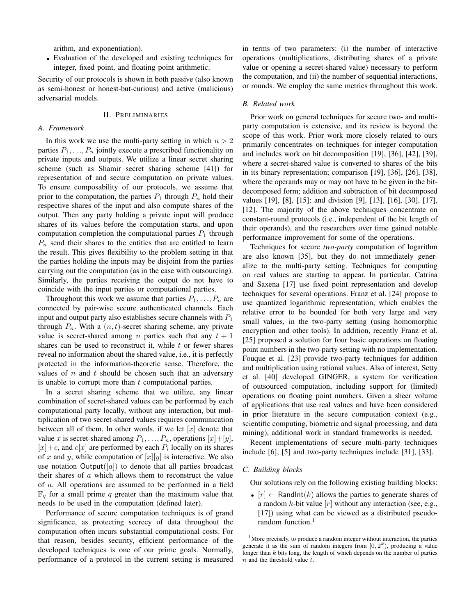arithm, and exponentiation).

• Evaluation of the developed and existing techniques for integer, fixed point, and floating point arithmetic.

Security of our protocols is shown in both passive (also known as semi-honest or honest-but-curious) and active (malicious) adversarial models.

## II. PRELIMINARIES

# *A. Framework*

In this work we use the multi-party setting in which  $n > 2$ parties  $P_1, \ldots, P_n$  jointly execute a prescribed functionality on private inputs and outputs. We utilize a linear secret sharing scheme (such as Shamir secret sharing scheme [41]) for representation of and secure computation on private values. To ensure composability of our protocols, we assume that prior to the computation, the parties  $P_1$  through  $P_n$  hold their respective shares of the input and also compute shares of the output. Then any party holding a private input will produce shares of its values before the computation starts, and upon computation completion the computational parties  $P_1$  through  $P_n$  send their shares to the entities that are entitled to learn the result. This gives flexibility to the problem setting in that the parties holding the inputs may be disjoint from the parties carrying out the computation (as in the case with outsourcing). Similarly, the parties receiving the output do not have to coincide with the input parties or computational parties.

Throughout this work we assume that parties  $P_1, \ldots, P_n$  are connected by pair-wise secure authenticated channels. Each input and output party also establishes secure channels with  $P_1$ through  $P_n$ . With a  $(n, t)$ -secret sharing scheme, any private value is secret-shared among *n* parties such that any  $t + 1$ shares can be used to reconstruct it, while  $t$  or fewer shares reveal no information about the shared value, i.e., it is perfectly protected in the information-theoretic sense. Therefore, the values of  $n$  and  $t$  should be chosen such that an adversary is unable to corrupt more than  $t$  computational parties.

In a secret sharing scheme that we utilize, any linear combination of secret-shared values can be performed by each computational party locally, without any interaction, but multiplication of two secret-shared values requires communication between all of them. In other words, if we let  $[x]$  denote that value x is secret-shared among  $P_1, \ldots, P_n$ , operations  $[x] + [y]$ ,  $[x] + c$ , and  $c[x]$  are performed by each  $P_i$  locally on its shares of x and y, while computation of  $[x][y]$  is interactive. We also use notation Output([a]) to denote that all parties broadcast their shares of  $a$  which allows them to reconstruct the value of a. All operations are assumed to be performed in a field  $\mathbb{F}_q$  for a small prime q greater than the maximum value that needs to be used in the computation (defined later).

Performance of secure computation techniques is of grand significance, as protecting secrecy of data throughout the computation often incurs substantial computational costs. For that reason, besides security, efficient performance of the developed techniques is one of our prime goals. Normally, performance of a protocol in the current setting is measured in terms of two parameters: (i) the number of interactive operations (multiplications, distributing shares of a private value or opening a secret-shared value) necessary to perform the computation, and (ii) the number of sequential interactions, or rounds. We employ the same metrics throughout this work.

#### *B. Related work*

Prior work on general techniques for secure two- and multiparty computation is extensive, and its review is beyond the scope of this work. Prior work more closely related to ours primarily concentrates on techniques for integer computation and includes work on bit decomposition [19], [36], [42], [39], where a secret-shared value is converted to shares of the bits in its binary representation; comparison [19], [36], [26], [38], where the operands may or may not have to be given in the bitdecomposed form; addition and subtraction of bit decomposed values [19], [8], [15]; and division [9], [13], [16], [30], [17], [12]. The majority of the above techniques concentrate on constant-round protocols (i.e., independent of the bit length of their operands), and the researchers over time gained notable performance improvement for some of the operations.

Techniques for secure *two-party* computation of logarithm are also known [35], but they do not immediately generalize to the multi-party setting. Techniques for computing on real values are starting to appear. In particular, Catrina and Saxena [17] use fixed point representation and develop techniques for several operations. Franz et al. [24] propose to use quantized logarithmic representation, which enables the relative error to be bounded for both very large and very small values, in the two-party setting (using homomorphic encryption and other tools). In addition, recently Franz et al. [25] proposed a solution for four basic operations on floating point numbers in the two-party setting with no implementation. Fouque et al. [23] provide two-party techniques for addition and multiplication using rational values. Also of interest, Setty et al. [40] developed GINGER, a system for verification of outsourced computation, including support for (limited) operations on floating point numbers. Given a sheer volume of applications that use real values and have been considered in prior literature in the secure computation context (e.g., scientific computing, biometric and signal processing, and data mining), additional work in standard frameworks is needed.

Recent implementations of secure multi-party techniques include [6], [5] and two-party techniques include [31], [33].

### *C. Building blocks*

Our solutions rely on the following existing building blocks:

•  $[r] \leftarrow$  RandInt(k) allows the parties to generate shares of a random  $k$ -bit value  $[r]$  without any interaction (see, e.g., [17]) using what can be viewed as a distributed pseudorandom function.<sup>1</sup>

<sup>&</sup>lt;sup>1</sup>More precisely, to produce a random integer without interaction, the parties generate it as the sum of random integers from  $[0, 2<sup>k</sup>)$ , producing a value longer than k bits long, the length of which depends on the number of parties  $n$  and the threshold value  $t$ .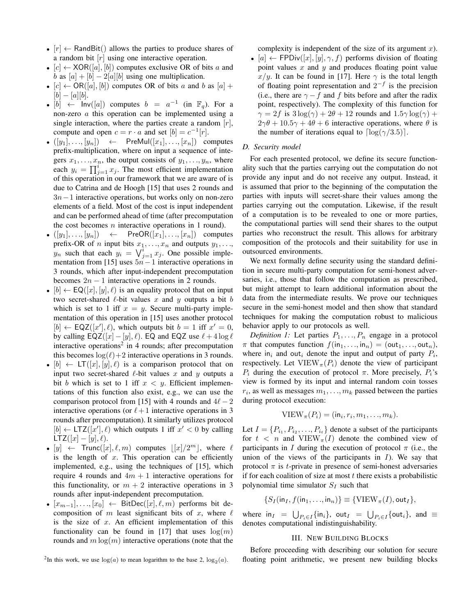- $[r] \leftarrow$  RandBit() allows the parties to produce shares of a random bit  $[r]$  using one interactive operation.
- $[c] \leftarrow XOR([a], [b])$  computes exclusive OR of bits a and b as  $[a] + [b] - 2[a][b]$  using one multiplication.
- $[c] \leftarrow OR([a], [b])$  computes OR of bits a and b as  $[a]$  +  $[b] - [a][b].$
- [b]  $\leftarrow$  Inv([a]) computes  $b = a^{-1}$  (in  $\mathbb{F}_q$ ). For a non-zero a this operation can be implemented using a single interaction, where the parties create a random  $[r]$ , compute and open  $c = r \cdot a$  and set  $[b] = c^{-1}[r]$ .
- $([y_1], \ldots, [y_n]) \leftarrow$  PreMul $([x_1], \ldots, [x_n])$  computes prefix-multiplication, where on input a sequence of integers  $x_1, \ldots, x_n$ , the output consists of  $y_1, \ldots, y_n$ , where each  $y_i = \prod_{j=1}^i x_j$ . The most efficient implementation of this operation in our framework that we are aware of is due to Catrina and de Hoogh [15] that uses 2 rounds and  $3n-1$  interactive operations, but works only on non-zero elements of a field. Most of the cost is input independent and can be performed ahead of time (after precomputation the cost becomes  $n$  interactive operations in 1 round).
- $([y_1], \ldots, [y_n]) \leftarrow \text{PreOR}([x_1], \ldots, [x_n]) \text{ computes }$ prefix-OR of *n* input bits  $x_1, \ldots, x_n$  and outputs  $y_1, \ldots,$  $y_n$  such that each  $y_i = \bigvee_{j=1}^i x_j$ . One possible implementation from [15] uses  $5n-1$  interactive operations in 3 rounds, which after input-independent precomputation becomes  $2n - 1$  interactive operations in 2 rounds.
- $[b] \leftarrow \mathsf{EQ}([x], [y], \ell)$  is an equality protocol that on input two secret-shared  $\ell$ -bit values x and y outputs a bit b which is set to 1 iff  $x = y$ . Secure multi-party implementation of this operation in [15] uses another protocol  $[b] \leftarrow \mathsf{EQZ}([x'], \ell)$ , which outputs bit  $b = 1$  iff  $x' = 0$ , by calling EQZ([x] – [y],  $\ell$ ). EQ and EQZ use  $\ell + 4 \log \ell$ interactive operations<sup>2</sup> in 4 rounds; after precomputation this becomes  $\log(\ell)+2$  interactive operations in 3 rounds.
- $[b] \leftarrow \mathsf{LT}([x], [y], \ell)$  is a comparison protocol that on input two secret-shared  $\ell$ -bit values x and y outputs a bit b which is set to 1 iff  $x < y$ . Efficient implementations of this function also exist, e.g., we can use the comparison protocol from [15] with 4 rounds and  $4\ell - 2$ interactive operations (or  $\ell + 1$  interactive operations in 3 rounds after precomputation). It similarly utilizes protocol  $[b] \leftarrow \text{LTZ}([x'], \ell)$  which outputs 1 iff  $x' < 0$  by calling LTZ([x] – [y],  $\ell$ ).
- $[y] \leftarrow$  Trunc $([x], \ell, m)$  computes  $[[x]/2^m]$ , where  $\ell$ is the length of  $x$ . This operation can be efficiently implemented, e.g., using the techniques of [15], which require 4 rounds and  $4m + 1$  interactive operations for this functionality, or  $m + 2$  interactive operations in 3 rounds after input-independent precomputation.
- $[x_{m-1}], \ldots, [x_0] \leftarrow$  BitDec $([x], \ell, m)$  performs bit decomposition of m least significant bits of x, where  $\ell$ is the size of  $x$ . An efficient implementation of this functionality can be found in [17] that uses  $log(m)$ rounds and  $m \log(m)$  interactive operations (note that the

complexity is independent of the size of its argument  $x$ ). • [a]  $\leftarrow$  FPDiv([x], [y],  $\gamma$ , f) performs division of floating point values  $x$  and  $y$  and produces floating point value x/y. It can be found in [17]. Here  $\gamma$  is the total length of floating point representation and  $2^{-f}$  is the precision (i.e., there are  $\gamma - f$  and f bits before and after the radix point, respectively). The complexity of this function for  $\gamma = 2f$  is  $3\log(\gamma) + 2\theta + 12$  rounds and  $1.5\gamma \log(\gamma) +$  $2\gamma\theta + 10.5\gamma + 4\theta + 6$  interactive operations, where  $\theta$  is the number of iterations equal to  $\lceil \log(\gamma/3.5) \rceil$ .

#### *D. Security model*

For each presented protocol, we define its secure functionality such that the parties carrying out the computation do not provide any input and do not receive any output. Instead, it is assumed that prior to the beginning of the computation the parties with inputs will secret-share their values among the parties carrying out the computation. Likewise, if the result of a computation is to be revealed to one or more parties, the computational parties will send their shares to the output parties who reconstruct the result. This allows for arbitrary composition of the protocols and their suitability for use in outsourced environments.

We next formally define security using the standard definition in secure multi-party computation for semi-honest adversaries, i.e., those that follow the computation as prescribed, but might attempt to learn additional information about the data from the intermediate results. We prove our techniques secure in the semi-honest model and then show that standard techniques for making the computation robust to malicious behavior apply to our protocols as well.

*Definition 1:* Let parties  $P_1, \ldots, P_n$  engage in a protocol  $\pi$  that computes function  $f(in_1, \ldots, in_n) = (out_1, \ldots, out_n),$ where in<sub>i</sub> and out<sub>i</sub> denote the input and output of party  $P_i$ , respectively. Let  $VIEW_{\pi}(P_i)$  denote the view of participant  $P_i$  during the execution of protocol  $\pi$ . More precisely,  $P_i$ 's view is formed by its input and internal random coin tosses  $r_i$ , as well as messages  $m_1, \ldots, m_k$  passed between the parties during protocol execution:

$$
VIEW_{\pi}(P_i) = (in_i, r_i, m_1, \ldots, m_k).
$$

Let  $I = \{P_{i_1}, P_{i_2}, \ldots, P_{i_t}\}\$  denote a subset of the participants for  $t < n$  and VIEW<sub> $\pi(I)$ </sub> denote the combined view of participants in I during the execution of protocol  $\pi$  (i.e., the union of the views of the participants in  $I$ ). We say that protocol  $\pi$  is *t*-private in presence of semi-honest adversaries if for each coalition of size at most  $t$  there exists a probabilistic polynomial time simulator  $S_I$  such that

$$
\{S_I(\mathsf{in}_I, f(\mathsf{in}_1, \ldots, \mathsf{in}_n)\} \equiv \{\mathsf{VIEW}_{\pi}(I), \mathsf{out}_I\},\
$$

where  $\text{in}_I = \bigcup_{P_i \in I} {\{\text{in}_i\}}$ ,  $\text{out}_I = \bigcup_{P_i \in I} {\{\text{out}_i\}}$ , and  $\equiv$ denotes computational indistinguishability.

## III. NEW BUILDING BLOCKS

Before proceeding with describing our solution for secure floating point arithmetic, we present new building blocks

<sup>&</sup>lt;sup>2</sup>In this work, we use  $log(a)$  to mean logarithm to the base 2,  $log_2(a)$ .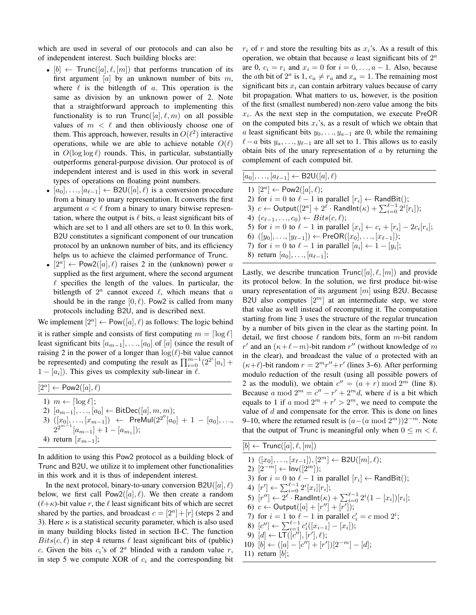which are used in several of our protocols and can also be of independent interest. Such building blocks are:

- $[b] \leftarrow$  Trunc $([a], \ell, [m])$  that performs truncation of its first argument [a] by an unknown number of bits  $m$ , where  $\ell$  is the bitlength of a. This operation is the same as division by an unknown power of 2. Note that a straightforward approach to implementing this functionality is to run  $Trunc([a], \ell, m)$  on all possible values of  $m < \ell$  and then obliviously choose one of them. This approach, however, results in  $O(\ell^2)$  interactive operations, while we are able to achieve notable  $O(\ell)$ in  $O(\log \log \ell)$  rounds. This, in particular, substantially outperforms general-purpose division. Our protocol is of independent interest and is used in this work in several types of operations on floating point numbers.
- $[a_0], \ldots, [a_{\ell-1}] \leftarrow B2U([a], \ell)$  is a conversion procedure from a binary to unary representation. It converts the first argument  $a < \ell$  from a binary to unary bitwise representation, where the output is  $\ell$  bits, a least significant bits of which are set to 1 and all others are set to 0. In this work, B2U constitutes a significant component of our truncation protocol by an unknown number of bits, and its efficiency helps us to achieve the claimed performance of Trunc.
- $[2^a] \leftarrow \text{Pow2}([a], \ell)$  raises 2 in the (unknown) power a supplied as the first argument, where the second argument  $\ell$  specifies the length of the values. In particular, the bitlength of  $2^a$  cannot exceed  $\ell$ , which means that a should be in the range  $[0, \ell)$ . Pow2 is called from many protocols including B2U, and is described next.

We implement  $[2^a] \leftarrow \text{Pow}([a], \ell)$  as follows: The logic behind

it is rather simple and consists of first computing  $m = \lceil \log \ell \rceil$ least significant bits  $[a_{m-1}], \ldots, [a_0]$  of  $[a]$  (since the result of raising 2 in the power of a longer than  $log(\ell)$ -bit value cannot be represented) and computing the result as  $\prod_{i=0}^{m-1} (2^{2^i} [a_i] +$  $1 - [a_i]$ ). This gives us complexity sub-linear in  $\ell$ .

 $[2^a] \leftarrow \text{Pow2}([a], \ell)$ 1)  $m \leftarrow \lceil \log \ell \rceil$ ; 2)  $[a_{m-1}], \ldots, [a_0] \leftarrow \text{BitDec}([a], m, m);$ 3)  $([x_0], ..., [x_{m-1}])$  ← PreMul $(2^{2^0} [a_0] + 1 - [a_0], ...,$  $2^{2^{m-1}}[a_{m-1}]+1-[a_{m_1}];$ 4) return  $[x_{m-1}]$ ;

In addition to using this Pow2 protocol as a building block of Trunc and B2U, we utilize it to implement other functionalities in this work and it is thus of independent interest.

In the next protocol, binary-to-unary conversion  $B2U([a], \ell)$ below, we first call  $Pow2([a], \ell)$ . We then create a random  $(\ell + \kappa)$ -bit value r, the  $\ell$  least significant bits of which are secret shared by the parties, and broadcast  $c = [2<sup>a</sup>] + [r]$  (steps 2 and 3). Here  $\kappa$  is a statistical security parameter, which is also used in many building blocks listed in section II-C. The function  $Bits(c, l)$  in step 4 returns  $l$  least significant bits of (public) c. Given the bits  $c_i$ 's of  $2^a$  blinded with a random value r, in step 5 we compute XOR of  $c_i$  and the corresponding bit  $r_i$  of r and store the resulting bits as  $x_i$ 's. As a result of this operation, we obtain that because  $a$  least significant bits of  $2^a$ are 0,  $c_i = r_i$  and  $x_i = 0$  for  $i = 0, \ldots, a - 1$ . Also, because the *a*th bit of  $2^a$  is 1,  $c_a \neq r_a$  and  $x_a = 1$ . The remaining most significant bits  $x_i$  can contain arbitrary values because of carry bit propagation. What matters to us, however, is the position of the first (smallest numbered) non-zero value among the bits  $x_i$ . As the next step in the computation, we execute PreOR on the computed bits  $x_i$ 's, as a result of which we obtain that a least significant bits  $y_0, \ldots, y_{a-1}$  are 0, while the remaining  $\ell$ −a bits  $y_a, \ldots, y_{\ell-1}$  are all set to 1. This allows us to easily obtain bits of the unary representation of  $\alpha$  by returning the complement of each computed bit.

| $[a_0], \ldots, [a_{\ell-1}] \leftarrow B2U([a], \ell)$                                                  |
|----------------------------------------------------------------------------------------------------------|
| 1) $[2^a] \leftarrow \text{Pow2}([a], \ell);$                                                            |
| 2) for $i = 0$ to $\ell - 1$ in parallel $[r_i] \leftarrow \text{RandBit}$ ;                             |
| 3) $c \leftarrow$ Output( $[2^a]$ + $2^{\ell}$ · Randlnt( $\kappa$ ) + $\sum_{i=0}^{\ell-1} 2^i[r_i]$ ); |
| 4) $(c_{\ell-1},,c_0) \leftarrow Bits(c,\ell);$                                                          |
| 5) for $i = 0$ to $\ell - 1$ in parallel $[x_i] \leftarrow c_i + [r_i] - 2c_i[r_i]$ ;                    |
| 6) $([y_0], \ldots, [y_{\ell-1}]) \leftarrow \text{PreOR}([x_0], \ldots, [x_{\ell-1}])$ ;                |
| 7) for $i = 0$ to $\ell - 1$ in parallel $[a_i] \leftarrow 1 - [y_i]$ ;                                  |
|                                                                                                          |

8) return  $[a_0], \ldots, [a_{\ell-1}];$ 

Lastly, we describe truncation  $Trunc([a], \ell, [m])$  and provide its protocol below. In the solution, we first produce bit-wise unary representation of its argument  $[m]$  using B2U. Because B2U also computes  $[2^m]$  at an intermediate step, we store that value as well instead of recomputing it. The computation starting from line 3 uses the structure of the regular truncation by a number of bits given in the clear as the starting point. In detail, we first choose  $\ell$  random bits, form an m-bit random r' and an  $(\kappa+\ell-m)$ -bit random r'' (without knowledge of m in the clear), and broadcast the value of  $a$  protected with an  $(\kappa+\ell)$ -bit random  $r = 2^m r'' + r'$  (lines 3–6). After performing modulo reduction of the result (using all possible powers of 2 as the moduli), we obtain  $c'' = (a + r) \bmod 2^m$  (line 8). Because a mod  $2^m = c'' - r' + 2^m d$ , where d is a bit which equals to 1 if a mod  $2^m + r' > 2^m$ , we need to compute the value of  $d$  and compensate for the error. This is done on lines 9–10, where the returned result is  $(a-(a \mod 2^m))2^{-m}$ . Note that the output of Trunc is meaningful only when  $0 \le m \le \ell$ .

| $[b] \leftarrow$ Trunc $([a], \ell, [m])$                                                             |
|-------------------------------------------------------------------------------------------------------|
| 1) $\langle [x_0], \ldots, [x_{\ell-1}]\rangle, [2^m] \leftarrow B2U([m], \ell);$                     |
| 2) $[2^{-m}] \leftarrow Inv([2^m])$ ;                                                                 |
| 3) for $i = 0$ to $\ell - 1$ in parallel $[r_i] \leftarrow \text{RandBit}$ ;                          |
| 4) $[r'] \leftarrow \sum_{i=0}^{\ell-1} 2^i [x_i][r_i];$                                              |
| 5) $[r''] \leftarrow 2^{\ell} \cdot \text{RandInt}(\kappa) + \sum_{i=0}^{\ell-1} 2^i (1-[x_i])[r_i];$ |
| 6) $c \leftarrow$ Output([a] + [r''] + [r']);                                                         |
| 7) for $i = 1$ to $\ell - 1$ in parallel $c_i' = c \mod 2^{i}$ ;                                      |
| 8) $[c''] \leftarrow \sum_{i=1}^{\ell-1} c'_i([x_{i-1}]-[x_i]);$                                      |
| 9) $[d] \leftarrow LT([c''], [r'], \ell);$                                                            |
| 10) $[b] \leftarrow ([a] - [c''] + [r'])[2^{-m}] - [d];$                                              |
| 11) return $[b]$ ;                                                                                    |
|                                                                                                       |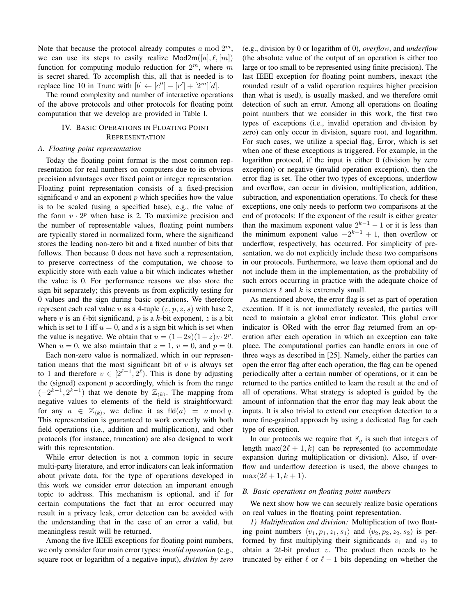Note that because the protocol already computes  $a \mod 2^m$ , we can use its steps to easily realize  $Mod2m([a], \ell, [m])$ function for computing modulo reduction for  $2^m$ , where m is secret shared. To accomplish this, all that is needed is to replace line 10 in Trunc with  $[b] \leftarrow [c''] - [r'] + [2^m][d].$ 

The round complexity and number of interactive operations of the above protocols and other protocols for floating point computation that we develop are provided in Table I.

# IV. BASIC OPERATIONS IN FLOATING POINT **REPRESENTATION**

## *A. Floating point representation*

Today the floating point format is the most common representation for real numbers on computers due to its obvious precision advantages over fixed point or integer representation. Floating point representation consists of a fixed-precision significand  $v$  and an exponent  $p$  which specifies how the value is to be scaled (using a specified base), e.g., the value of the form  $v \cdot 2^p$  when base is 2. To maximize precision and the number of representable values, floating point numbers are typically stored in normalized form, where the significand stores the leading non-zero bit and a fixed number of bits that follows. Then because 0 does not have such a representation, to preserve correctness of the computation, we choose to explicitly store with each value a bit which indicates whether the value is 0. For performance reasons we also store the sign bit separately; this prevents us from explicitly testing for 0 values and the sign during basic operations. We therefore represent each real value u as a 4-tuple  $(v, p, z, s)$  with base 2, where v is an  $\ell$ -bit significand, p is a k-bit exponent, z is a bit which is set to 1 iff  $u = 0$ , and s is a sign bit which is set when the value is negative. We obtain that  $u = (1 - 2s)(1 - z)v \cdot 2^p$ . When  $u = 0$ , we also maintain that  $z = 1$ ,  $v = 0$ , and  $p = 0$ .

Each non-zero value is normalized, which in our representation means that the most significant bit of  $v$  is always set to 1 and therefore  $v \in [2^{\ell-1}, 2^{\ell})$ . This is done by adjusting the (signed) exponent  $p$  accordingly, which is from the range  $(-2^{k-1}, 2^{k-1})$  that we denote by  $\mathbb{Z}_{\langle k \rangle}$ . The mapping from negative values to elements of the field is straightforward: for any  $a \in \mathbb{Z}_{\langle k \rangle}$ , we define it as  $\text{fld}(a) = a \mod q$ . This representation is guaranteed to work correctly with both field operations (i.e., addition and multiplication), and other protocols (for instance, truncation) are also designed to work with this representation.

While error detection is not a common topic in secure multi-party literature, and error indicators can leak information about private data, for the type of operations developed in this work we consider error detection an important enough topic to address. This mechanism is optional, and if for certain computations the fact that an error occurred may result in a privacy leak, error detection can be avoided with the understanding that in the case of an error a valid, but meaningless result will be returned.

Among the five IEEE exceptions for floating point numbers, we only consider four main error types: *invalid operation* (e.g., square root or logarithm of a negative input), *division by zero* (e.g., division by 0 or logarithm of 0), *overflow*, and *underflow* (the absolute value of the output of an operation is either too large or too small to be represented using finite precision). The last IEEE exception for floating point numbers, inexact (the rounded result of a valid operation requires higher precision than what is used), is usually masked, and we therefore omit detection of such an error. Among all operations on floating point numbers that we consider in this work, the first two types of exceptions (i.e., invalid operation and division by zero) can only occur in division, square root, and logarithm. For such cases, we utilize a special flag, Error, which is set when one of these exceptions is triggered. For example, in the logarithm protocol, if the input is either 0 (division by zero exception) or negative (invalid operation exception), then the error flag is set. The other two types of exceptions, underflow and overflow, can occur in division, multiplication, addition, subtraction, and exponentiation operations. To check for these exceptions, one only needs to perform two comparisons at the end of protocols: If the exponent of the result is either greater than the maximum exponent value  $2^{k-1} - 1$  or it is less than the minimum exponent value  $-2^{k-1} + 1$ , then overflow or underflow, respectively, has occurred. For simplicity of presentation, we do not explicitly include these two comparisons in our protocols. Furthermore, we leave them optional and do not include them in the implementation, as the probability of such errors occurring in practice with the adequate choice of parameters  $\ell$  and  $k$  is extremely small.

As mentioned above, the error flag is set as part of operation execution. If it is not immediately revealed, the parties will need to maintain a global error indicator. This global error indicator is ORed with the error flag returned from an operation after each operation in which an exception can take place. The computational parties can handle errors in one of three ways as described in [25]. Namely, either the parties can open the error flag after each operation, the flag can be opened periodically after a certain number of operations, or it can be returned to the parties entitled to learn the result at the end of all of operations. What strategy is adopted is guided by the amount of information that the error flag may leak about the inputs. It is also trivial to extend our exception detection to a more fine-grained approach by using a dedicated flag for each type of exception.

In our protocols we require that  $\mathbb{F}_q$  is such that integers of length max $(2\ell + 1, k)$  can be represented (to accommodate expansion during multiplication or division). Also, if overflow and underflow detection is used, the above changes to  $\max(2\ell + 1, k + 1).$ 

#### *B. Basic operations on floating point numbers*

We next show how we can securely realize basic operations on real values in the floating point representation.

*1) Multiplication and division:* Multiplication of two floating point numbers  $\langle v_1, p_1, z_1, s_1 \rangle$  and  $\langle v_2, p_2, z_2, s_2 \rangle$  is performed by first multiplying their significands  $v_1$  and  $v_2$  to obtain a  $2\ell$ -bit product v. The product then needs to be truncated by either  $\ell$  or  $\ell - 1$  bits depending on whether the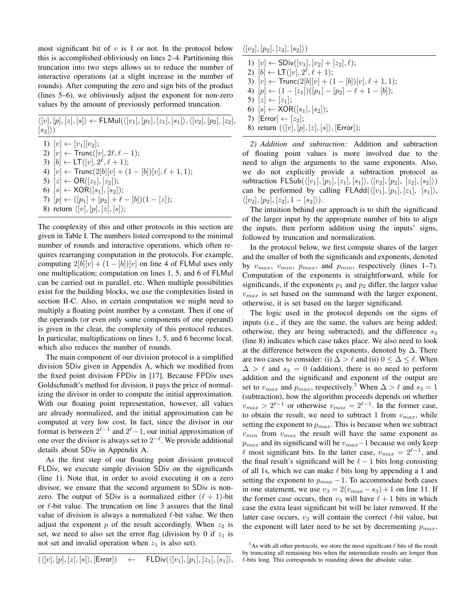most significant bit of  $v$  is 1 or not. In the protocol below this is accomplished obliviously on lines 2–4. Partitioning this truncation into two steps allows us to reduce the number of interactive operations (at a slight increase in the number of rounds). After computing the zero and sign bits of the product (lines 5–6), we obliviously adjust the exponent for non-zero values by the amount of previously performed truncation.

 $\langle [v], [p], [z], [s] \rangle \leftarrow \textsf{FLMul}(\langle [v_1], [p_1], [z_1], [s_1] \rangle, \langle [v_2], [p_2], [z_2] \rangle),$  $|s_2|\rangle)$ 

1)  $[v] \leftarrow [v_1][v_2];$ 2)  $[v] \leftarrow \text{Trunc}([v], 2\ell, \ell - 1);$ 3)  $[b] \leftarrow \mathsf{LT}([v], 2^{\ell}, \ell+1);$ 4)  $[v] \leftarrow \text{Trunc}(2[b][v] + (1 - [b])[v], \ell + 1, 1);$ 5)  $[z] \leftarrow OR([z_1],[z_2])$ ; 6)  $[s] \leftarrow \text{XOR}([s_1], [s_2])$ ; 7)  $[p] \leftarrow ([p_1] + [p_2] + \ell - [b])(1 - [z]);$ 8) return  $\langle [v], [p], [z], [s] \rangle;$ 

The complexity of this and other protocols in this section are given in Table I. The numbers listed correspond to the minimal number of rounds and interactive operations, which often requires rearranging computation in the protocols. For example, computing  $2[b][v] + (1 - [b])[v]$  on line 4 of FLMul uses only one multiplication; computation on lines 1, 5, and 6 of FLMul can be carried out in parallel, etc. When multiple possibilities exist for the building blocks, we use the complexities listed in section II-C. Also, in certain computation we might need to multiply a floating point number by a constant. Then if one of the operands (or even only some components of one operand) is given in the clear, the complexity of this protocol reduces. In particular, multiplications on lines 1, 5, and 6 become local, which also reduces the number of rounds.

The main component of our division protocol is a simplified division SDiv given in Appendix A, which we modified from the fixed point division FPDiv in [17]. Because FPDiv uses Goldschmidt's method for division, it pays the price of normalizing the divisor in order to compute the initial approximation. With our floating point representation, however, all values are already normalized, and the initial approximation can be computed at very low cost. In fact, since the divisor in our format is between  $2^{\ell-1}$  and  $2^{\ell}-1$ , our initial approximation of one over the divisor is always set to  $2^{-\ell}$ . We provide additional details about SDiv in Appendix A.

As the first step of our floating point division protocol FLDiv, we execute simple division SDiv on the significands (line 1). Note that, in order to avoid executing it on a zero divisor, we ensure that the second argument to SDiv is nonzero. The output of SDiv is a normalized either  $(\ell + 1)$ -bit or  $\ell$ -bit value. The truncation on line 3 assures that the final value of division is always a normalized  $\ell$ -bit value. We then adjust the exponent  $p$  of the result accordingly. When  $z_2$  is set, we need to also set the error flag (division by 0 if  $z_1$  is not set and invalid operation when  $z_1$  is also set).

$$
(\langle [v],[p],[z],[s]\rangle, [\mathsf{Error}]) \quad \leftarrow \quad \mathsf{FLDiv}(\langle [v_1],[p_1],[z_1],[s_1]\rangle,
$$

 $\langle [v_2], [p_2], [z_2], [s_2]\rangle)$ 

1)  $[v]$  ← SDiv( $[v_1], [v_2] + [z_2], \ell$ ); 2)  $[b] \leftarrow \mathsf{LT}([v], 2^{\ell}, \ell + 1);$ 3)  $[v] \leftarrow \text{Trunc}(2[b][v] + (1 - [b])[v], \ell + 1, 1);$ 4)  $[p] \leftarrow (1 - [z_1])([p_1] - [p_2] - \ell + 1 - [b]);$ 5)  $[z] \leftarrow [z_1]$ ; 6)  $[s] \leftarrow \text{XOR}([s_1], [s_2])$ ; 7)  $[Error] \leftarrow [z_2];$ 8) return  $(\langle [v], [p], [z], [s] \rangle,$  [Error]);

*2) Addition and subtraction:* Addition and subtraction of floating point values is more involved due to the need to align the arguments to the same exponents. Also, we do not explicitly provide a subtraction protocol as subtraction  $FLSub(\langle [v_1], [p_1], [z_1], [s_1]\rangle, \langle [v_2], [p_2], [z_2], [s_2]\rangle)$ can be performed by calling  $FLAdd(\langle [v_1], [p_1], [z_1], [s_1] \rangle)$ ,  $\langle [v_2], [p_2], [z_2], 1 - [s_2] \rangle).$ 

The intuition behind our approach is to shift the significand of the larger input by the appropriate number of bits to align the inputs, then perform addition using the inputs' signs, followed by truncation and normalization.

In the protocol below, we first compute shares of the larger and the smaller of both the significands and exponents, denoted by  $v_{max}$ ,  $v_{min}$ ,  $p_{max}$ , and  $p_{min}$ , respectively (lines 1-7). Computation of the exponents is straightforward, while for significands, if the exponents  $p_1$  and  $p_2$  differ, the larger value  $v_{max}$  is set based on the summand with the larger exponent, otherwise, it is set based on the larger significand.

The logic used in the protocol depends on the signs of inputs (i.e., if they are the same, the values are being added; otherwise, they are being subtracted), and the difference  $s_3$ (line 8) indicates which case takes place. We also need to look at the difference between the exponents, denoted by  $\Delta$ . There are two cases to consider: (i)  $\Delta > \ell$  and (ii)  $0 \leq \Delta \leq \ell$ . When  $\Delta > \ell$  and  $s_3 = 0$  (addition), there is no need to perform addition and the significand and exponent of the output are set to  $v_{max}$  and  $p_{max}$ , respectively.<sup>3</sup> When  $\Delta > \ell$  and  $s_3 = 1$ (subtraction), how the algorithm proceeds depends on whether  $v_{max} > 2^{\ell-1}$  or otherwise  $v_{max} = 2^{\ell-1}$ . In the former case, to obtain the result, we need to subtract 1 from  $v_{max}$ , while setting the exponent to  $p_{max}$ . This is because when we subtract  $v_{min}$  from  $v_{max}$  the result will have the same exponent as  $p_{max}$  and its significand will be  $v_{max}$  –1 because we only keep  $\ell$  most significant bits. In the latter case,  $v_{max} = 2^{\ell-1}$ , and the final result's significand will be  $\ell - 1$  bits long consisting of all 1s, which we can make  $\ell$  bits long by appending a 1 and setting the exponent to  $p_{max} - 1$ . To accommodate both cases in one statement, we use  $v_3 = 2(v_{max} - s_3) + 1$  on line 11. If the former case occurs, then  $v_3$  will have  $\ell + 1$  bits in which case the extra least significant bit will be later removed. If the latter case occurs,  $v_3$  will contain the correct  $\ell$ -bit value, but the exponent will later need to be set by decrementing  $p_{max}$ .

 $3$ As with all other protocols, we store the most significant  $\ell$  bits of the result by truncating all remaining bits when the intermediate results are longer than  $\ell$ -bits long. This corresponds to rounding down the absolute value.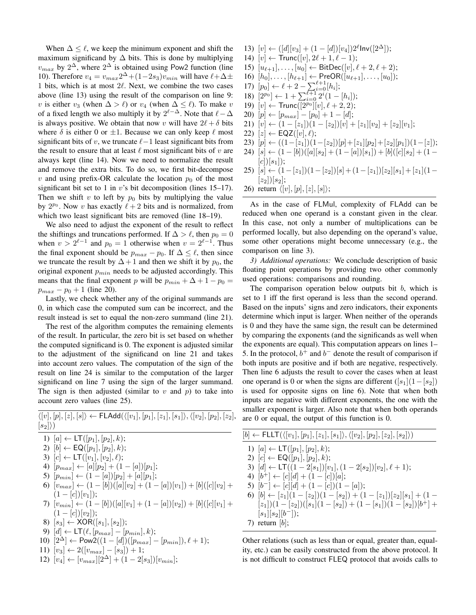When  $\Delta \leq \ell$ , we keep the minimum exponent and shift the maximum significand by  $\Delta$  bits. This is done by multiplying  $v_{max}$  by  $2^{\Delta}$ , where  $2^{\Delta}$  is obtained using Pow2 function (line 10). Therefore  $v_4 = v_{max} 2^{\Delta} + (1-2s_3)v_{min}$  will have  $\ell + \Delta \pm$ 1 bits, which is at most  $2\ell$ . Next, we combine the two cases above (line 13) using the result of the comparison on line 9: v is either  $v_3$  (when  $\Delta > \ell$ ) or  $v_4$  (when  $\Delta \leq \ell$ ). To make v of a fixed length we also multiply it by  $2^{\ell-\Delta}$ . Note that  $\ell-\Delta$ is always positive. We obtain that now v will have  $2\ell + \delta$  bits where  $\delta$  is either 0 or  $\pm 1$ . Because we can only keep  $\ell$  most significant bits of v, we truncate  $\ell-1$  least significant bits from the result to ensure that at least  $\ell$  most significant bits of v are always kept (line 14). Now we need to normalize the result and remove the extra bits. To do so, we first bit-decompose v and using prefix-OR calculate the location  $p_0$  of the most significant bit set to 1 in  $v$ 's bit decomposition (lines 15–17). Then we shift v to left by  $p_0$  bits by multiplying the value by  $2^{p_0}$ . Now v has exactly  $\ell + 2$  bits and is normalized, from which two least significant bits are removed (line 18–19).

We also need to adjust the exponent of the result to reflect the shiftings and truncations performed. If  $\Delta > \ell$ , then  $p_0 = 0$ when  $v > 2^{\ell-1}$  and  $p_0 = 1$  otherwise when  $v = 2^{\ell-1}$ . Thus the final exponent should be  $p_{max} - p_0$ . If  $\Delta \leq \ell$ , then since we truncate the result by  $\Delta + 1$  and then we shift it by  $p_0$ , the original exponent  $p_{min}$  needs to be adjusted accordingly. This means that the final exponent p will be  $p_{min} + \Delta + 1 - p_0 =$  $p_{max} - p_0 + 1$  (line 20).

Lastly, we check whether any of the original summands are 0, in which case the computed sum can be incorrect, and the result instead is set to equal the non-zero summand (line 21).

The rest of the algorithm computes the remaining elements of the result. In particular, the zero bit is set based on whether the computed significand is 0. The exponent is adjusted similar to the adjustment of the significand on line 21 and takes into account zero values. The computation of the sign of the result on line 24 is similar to the computation of the larger significand on line 7 using the sign of the larger summand. The sign is then adjusted (similar to  $v$  and  $p$ ) to take into account zero values (line 25).

 $\langle [v], [p], [z], [s] \rangle \leftarrow \mathsf{FLAdd}(\langle [v_1], [p_1], [z_1], [s_1] \rangle, \langle [v_2], [p_2], [z_2],$  $|s_2\rangle\rangle$ 

- 1)  $[a] \leftarrow LT([p_1], [p_2], k);$
- 2)  $[b] \leftarrow \mathsf{EQ}([p_1], [p_2], k);$
- 3)  $[c] \leftarrow \mathsf{LT}([v_1], [v_2], \ell);$
- 4)  $[p_{max}] \leftarrow [a][p_2] + (1 [a])[p_1];$
- 5)  $[p_{min}] \leftarrow (1 [a])[p_2] + [a][p_1];$
- 6)  $[v_{max}] \leftarrow (1 [b])([a][v_2] + (1 [a])[v_1]) + [b][[c][v_2] +$  $(1 - [c])[v_1]$ ;
- 7)  $[v_{min}] \leftarrow (1 [b])([a][v_1] + (1 [a])[v_2]) + [b][[c][v_1] +$  $(1 - [c])[v_2]$ ;
- 8)  $[s_3] \leftarrow \text{XOR}([s_1], [s_2])$ ;
- 9)  $[d] \leftarrow \mathsf{LT}(\ell, [p_{max}] [p_{min}], k);$
- 10)  $[2^{\Delta}]$  ← Pow2((1 [d])([ $p_{max}$ ] [ $p_{min}$ ]),  $\ell + 1$ );
- 11)  $[v_3] \leftarrow 2([v_{max}] [s_3]) + 1;$
- 12)  $[v_4] \leftarrow [v_{max}][2^{\Delta}] + (1 2[s_3])[v_{min}];$
- 13)  $[v] \leftarrow ([d][v_3] + (1 [d])[v_4])2^{\ell}$ lnv $([2^{\Delta}]);$ 14)  $[v] \leftarrow \text{Trunc}([v], 2\ell + 1, \ell - 1);$ 15)  $[u_{\ell+1}], \ldots, [u_0] \leftarrow \text{BitDec}([v], \ell + 2, \ell + 2);$ 16)  $[h_0], \ldots, [h_{\ell+1}] \leftarrow \text{PreOR}([u_{\ell+1}], \ldots, [u_0]);$ 17)  $[p_0] \leftarrow \ell + 2 - \sum_{i=0}^{\ell+1} [h_i];$ 18)  $[2^{p_0}] \leftarrow 1 + \sum_{i=0}^{\ell+1} 2^i (1 - [h_i])$ ; 19)  $[v] \leftarrow \text{Trunc}([2^{p_0}] [v], \ell + 2, 2);$ 20)  $[p] \leftarrow [p_{max}] - [p_0] + 1 - [d];$ 21)  $[v] \leftarrow (1 - [z_1])(1 - [z_2])[v] + [z_1][v_2] + [z_2][v_1];$ 22)  $[z] \leftarrow \textsf{EQZ}([v], \ell);$ 23)  $[p] \leftarrow ((1-[z_1])(1-[z_2])[p]+[z_1][p_2]+[z_2][p_1])(1-[z]);$ 24)  $[s] \leftarrow (1 - [b])([a][s_2] + (1 - [a])[s_1]) + [b][[c][s_2] + (1 - [a])$  $[c]$ [c]] $[s_1]$ ]; 25)  $[s] \leftarrow (1-[z_1])(1-[z_2])[s] + (1-[z_1])[z_2][s_1]+[z_1](1-$ 
	- $[z_2]$ ][s<sub>2</sub>];
	- 26) return  $\langle [v], [p], [z], [s] \rangle;$

As in the case of FLMul, complexity of FLAdd can be reduced when one operand is a constant given in the clear. In this case, not only a number of multiplications can be performed locally, but also depending on the operand's value, some other operations might become unnecessary (e.g., the comparison on line 3).

*3) Additional operations:* We conclude description of basic floating point operations by providing two other commonly used operations: comparisons and rounding.

The comparison operation below outputs bit  $b$ , which is set to 1 iff the first operand is less than the second operand. Based on the inputs' signs and zero indicators, their exponents determine which input is larger. When neither of the operands is 0 and they have the same sign, the result can be determined by comparing the exponents (and the significands as well when the exponents are equal). This computation appears on lines 1– 5. In the protocol,  $b^+$  and  $b^-$  denote the result of comparison if both inputs are positive and if both are negative, respectively. Then line 6 adjusts the result to cover the cases when at least one operand is 0 or when the signs are different  $([s_1](1-[s_2]))$ is used for opposite signs on line 6). Note that when both inputs are negative with different exponents, the one with the smaller exponent is larger. Also note that when both operands are 0 or equal, the output of this function is 0.

Other relations (such as less than or equal, greater than, equality, etc.) can be easily constructed from the above protocol. It is not difficult to construct FLEQ protocol that avoids calls to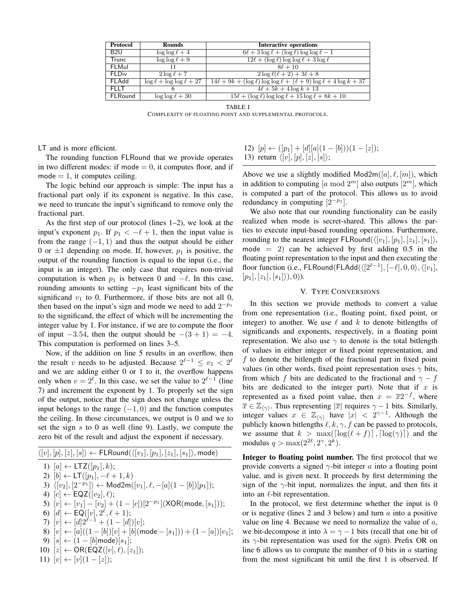| Protocol        | <b>Rounds</b>                     | <b>Interactive operations</b>                                                     |
|-----------------|-----------------------------------|-----------------------------------------------------------------------------------|
| B <sub>2U</sub> | $\log \log \ell + 4$              | $6\ell + 3\log\ell + (\log\ell)\log\log\ell - 1$                                  |
| <b>Trunc</b>    | $\log \log \ell + 9$              | $12\ell + (\log \ell) \log \log \ell + 3 \log \ell$                               |
| FLMul           | 11                                | $8\ell + 10$                                                                      |
| <b>FLDiv</b>    | $2\log\ell+7$                     | $2\log \ell(\ell+2)+3\ell+8$                                                      |
| FLAdd           | $\log \ell + \log \log \ell + 27$ | $14\ell + 9k + (\log \ell) \log \log \ell + (\ell + 9) \log \ell + 4 \log k + 37$ |
| <b>FLIT</b>     |                                   | $4\ell + 5k + 4\log k + 13$                                                       |
| <b>FLRound</b>  | $\log \log \ell + 30$             | $15\ell + (\log \ell) \log \log \ell + 15 \log \ell + 8k + 10$                    |
|                 |                                   |                                                                                   |

TABLE I

COMPLEXITY OF FLOATING POINT AND SUPPLEMENTAL PROTOCOLS.

LT and is more efficient.

The rounding function FLRound that we provide operates in two different modes: if mode  $= 0$ , it computes floor, and if  $mode = 1$ , it computes ceiling.

The logic behind our approach is simple: The input has a fractional part only if its exponent is negative. In this case, we need to truncate the input's significand to remove only the fractional part.

As the first step of our protocol (lines 1–2), we look at the input's exponent  $p_1$ . If  $p_1 < -\ell + 1$ , then the input value is from the range  $(-1, 1)$  and thus the output should be either 0 or  $\pm 1$  depending on mode. If, however,  $p_1$  is positive, the output of the rounding function is equal to the input (i.e., the input is an integer). The only case that requires non-trivial computation is when  $p_1$  is between 0 and  $-\ell$ . In this case, rounding amounts to setting  $-p_1$  least significant bits of the significand  $v_1$  to 0. Furthermore, if those bits are not all 0, then based on the input's sign and mode we need to add  $2^{-p_1}$ to the significand, the effect of which will be incrementing the integer value by 1. For instance, if we are to compute the floor of input  $-3.54$ , then the output should be  $-(3 + 1) = -4$ . This computation is performed on lines 3–5.

Now, if the addition on line 5 results in an overflow, then the result v needs to be adjusted. Because  $2^{\ell-1} \le v_1 < 2^{\ell}$ and we are adding either 0 or 1 to it, the overflow happens only when  $v = 2^{\ell}$ . In this case, we set the value to  $2^{\ell-1}$  (line 7) and increment the exponent by 1. To properly set the sign of the output, notice that the sign does not change unless the input belongs to the range  $(-1, 0)$  and the function computes the ceiling. In those circumstances, we output is 0 and we to set the sign  $s$  to 0 as well (line 9). Lastly, we compute the zero bit of the result and adjust the exponent if necessary.

 $\langle [v], [p], [z], [s] \rangle \leftarrow \mathsf{FLRound}(\langle [v_1], [p_1], [z_1], [s_1] \rangle, \mathsf{mode})$ 1)  $[a] \leftarrow \text{LTZ}([p_1], k);$ 2)  $[b] \leftarrow \mathsf{LT}([p_1], -\ell + 1, k)$ 3)  $\langle [v_2], [2^{-p_1}] \rangle \leftarrow \text{Mod2m}([v_1], \ell, -[a](1 - [b])[p_1]);$ 4)  $[c] \leftarrow \textsf{EQZ}([v_2], \ell);$ 5)  $[v] \leftarrow [v_1] - [v_2] + (1 - [c])[2^{-p_1}](\textsf{XOR}(\textsf{mode}, [s_1])),$ 6)  $[d] \leftarrow \mathsf{EQ}([v], 2^{\ell}, \ell + 1);$ 7)  $[v] \leftarrow [d]2^{\ell-1} + (1 - [d])[v];$ 8)  $[v] \leftarrow [a]((1 - [b])[v] + [b] \text{ (mode } - [s_1])) + (1 - [a])[v_1];$ 9)  $[s] \leftarrow (1 - [b] \text{mode})[s_1];$ 10)  $[z] \leftarrow \mathsf{OR}(\mathsf{EQZ}([v], \ell), [z_1]);$ 11)  $[v] \leftarrow [v](1-[z])$ ;

12) 
$$
[p] \leftarrow ([p_1] + [d][a](1 - [b]))(1 - [z]);
$$
  
13) return  $\langle [v], [p], [z], [s] \rangle;$ 

Above we use a slightly modified  $Mod2m([a], \ell, [m])$ , which in addition to computing [a mod  $2<sup>m</sup>$ ] also outputs [ $2<sup>m</sup>$ ], which is computed a part of the protocol. This allows us to avoid redundancy in computing  $[2^{-p_1}]$ .

We also note that our rounding functionality can be easily realized when mode is secret-shared. This allows the parties to execute input-based rounding operations. Furthermore, rounding to the nearest integer FLRound( $\langle [v_1], [p_1], [z_1], [s_1] \rangle$ , mode  $= 2$ ) can be achieved by first adding 0.5 in the floating point representation to the input and then executing the floor function (i.e., FLRound(FLAdd( $\langle [2^{\ell-1}], [-\ell], 0, 0 \rangle, \langle [v_1],$  $[p_1], [z_1], [s_1]\rangle, 0).$ 

#### V. TYPE CONVERSIONS

In this section we provide methods to convert a value from one representation (i.e., floating point, fixed point, or integer) to another. We use  $\ell$  and  $k$  to denote bitlengths of significands and exponents, respectively, in a floating point representation. We also use  $\gamma$  to denote is the total bitlength of values in either integer or fixed point representation, and  $f$  to denote the bitlength of the fractional part in fixed point values (in other words, fixed point representation uses  $\gamma$  bits, from which f bits are dedicated to the fractional and  $\gamma - f$ bits are dedicated to the integer part). Note that if  $x$  is represented as a fixed point value, then  $x = \overline{x}2^{-f}$ , where  $\overline{x} \in \mathbb{Z}_{\langle \gamma \rangle}$ . Thus representing  $|\overline{x}|$  requires  $\gamma - 1$  bits. Similarly, integer values  $x \in \mathbb{Z}_{\langle \gamma \rangle}$  have  $|x| < 2^{\gamma-1}$ . Although the publicly known bitlengths  $\ell, k, \gamma, f$  can be passed to protocols, we assume that  $k > \max(\lceil \log(\ell + f) \rceil, \lceil \log(\gamma) \rceil)$  and the modulus  $q > \max(2^{2\ell}, 2^{\gamma}, 2^k)$ .

Integer to floating point number. The first protocol that we provide converts a signed  $\gamma$ -bit integer a into a floating point value, and is given next. It proceeds by first determining the sign of the  $\gamma$ -bit input, normalizes the input, and then fits it into an  $\ell$ -bit representation.

In the protocol, we first determine whether the input is 0 or is negative (lines 2 and 3 below) and turn  $a$  into a positive value on line 4. Because we need to normalize the value of  $a$ , we bit-decompose it into  $\lambda = \gamma - 1$  bits (recall that one bit of its  $\gamma$ -bit representation was used for the sign). Prefix OR on line 6 allows us to compute the number of 0 bits in  $\alpha$  starting from the most significant bit until the first 1 is observed. If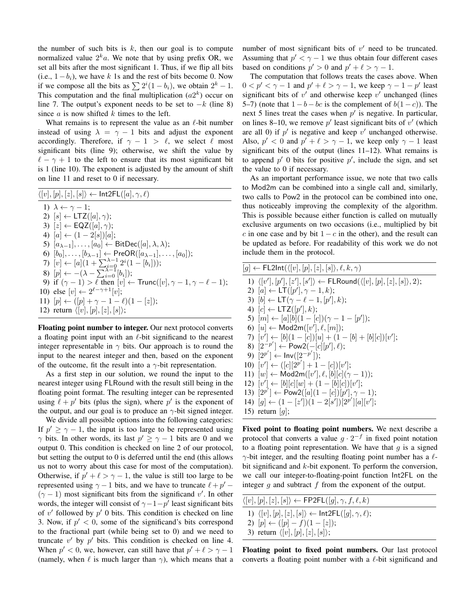the number of such bits is  $k$ , then our goal is to compute normalized value  $2^k a$ . We note that by using prefix OR, we set all bits after the most significant 1. Thus, if we flip all bits (i.e.,  $1-b_i$ ), we have k 1s and the rest of bits become 0. Now if we compose all the bits as  $\sum 2^i(1-b_i)$ , we obtain  $2^k - 1$ . This computation and the final multiplication  $(a2^k)$  occur on line 7. The output's exponent needs to be set to  $-k$  (line 8) since  $a$  is now shifted  $k$  times to the left.

What remains is to represent the value as an  $\ell$ -bit number instead of using  $\lambda = \gamma - 1$  bits and adjust the exponent accordingly. Therefore, if  $\gamma - 1 > \ell$ , we select  $\ell$  most significant bits (line 9); otherwise, we shift the value by  $\ell - \gamma + 1$  to the left to ensure that its most significant bit is 1 (line 10). The exponent is adjusted by the amount of shift on line 11 and reset to 0 if necessary.

| $\langle [v], [p], [z], [s] \rangle \leftarrow \textsf{Int2FL}([a], \gamma, \ell)$                  |
|-----------------------------------------------------------------------------------------------------|
| 1) $\lambda \leftarrow \gamma - 1$ ;                                                                |
| 2) $[s] \leftarrow \text{LTZ}([a], \gamma);$                                                        |
| 3) $ z  \leftarrow \textsf{EQZ}([a], \gamma);$                                                      |
| 4) $ a  \leftarrow (1-2 s ) a $ ;                                                                   |
| 5) $[a_{\lambda-1}], \ldots, [a_0] \leftarrow \text{BitDec}([a], \lambda, \lambda);$                |
| 6) $[b_0], \ldots, [b_{\lambda-1}] \leftarrow \text{PreOR}([a_{\lambda-1}], \ldots, [a_0])$ ;       |
| 7) $[v] \leftarrow [a](1 + \sum_{i=0}^{\lambda-1} 2^i (1 - [b_i]));$                                |
| 8) $[p] \leftarrow -(\lambda - \sum_{i=0}^{\lambda-1} [b_i])$ ;                                     |
| 9) if $(\gamma - 1) > \ell$ then $[v] \leftarrow \text{Trunc}([v], \gamma - 1, \gamma - \ell - 1);$ |
| 10) else $[v] \leftarrow 2^{\ell - \gamma + 1}[v];$                                                 |
| 11) $[p] \leftarrow ([p] + \gamma - 1 - \ell)(1 - [z])$ ;                                           |
| 12) return $\langle [v], [p], [z], [s] \rangle$ ;                                                   |
|                                                                                                     |

Floating point number to integer. Our next protocol converts a floating point input with an  $\ell$ -bit significand to the nearest integer representable in  $\gamma$  bits. Our approach is to round the input to the nearest integer and then, based on the exponent of the outcome, fit the result into a  $\gamma$ -bit representation.

As a first step in our solution, we round the input to the nearest integer using FLRound with the result still being in the floating point format. The resulting integer can be represented using  $l + p'$  bits (plus the sign), where p' is the exponent of the output, and our goal is to produce an  $\gamma$ -bit signed integer.

We divide all possible options into the following categories: If  $p' \ge \gamma - 1$ , the input is too large to be represented using  $\gamma$  bits. In other words, its last  $p' \geq \gamma - 1$  bits are 0 and we output 0. This condition is checked on line 2 of our protocol, but setting the output to 0 is deferred until the end (this allows us not to worry about this case for most of the computation). Otherwise, if  $p' + \ell > \gamma - 1$ , the value is still too large to be represented using  $\gamma - 1$  bits, and we have to truncate  $\ell + p' (\gamma - 1)$  most significant bits from the significand v'. In other words, the integer will consist of  $\gamma - 1 - p'$  least significant bits of  $v'$  followed by  $p'$  0 bits. This condition is checked on line 3. Now, if  $p' < 0$ , some of the significand's bits correspond to the fractional part (while being set to 0) and we need to truncate  $v'$  by  $p'$  bits. This condition is checked on line 4. When  $p' < 0$ , we, however, can still have that  $p' + \ell > \gamma - 1$ (namely, when  $\ell$  is much larger than  $\gamma$ ), which means that a number of most significant bits of  $v'$  need to be truncated. Assuming that  $p' < \gamma - 1$  we thus obtain four different cases based on conditions  $p' > 0$  and  $p' + \ell > \gamma - 1$ .

The computation that follows treats the cases above. When  $0 < p' < \gamma - 1$  and  $p' + \ell > \gamma - 1$ , we keep  $\gamma - 1 - p'$  least significant bits of  $v'$  and otherwise keep  $v'$  unchanged (lines 5–7) (note that  $1-b-bc$  is the complement of  $b(1-c)$ ). The next 5 lines treat the cases when  $p'$  is negative. In particular, on lines 8–10, we remove  $p'$  least significant bits of  $v'$  (which are all 0) if  $p'$  is negative and keep  $v'$  unchanged otherwise. Also,  $p' < 0$  and  $p' + \ell > \gamma - 1$ , we keep only  $\gamma - 1$  least significant bits of the output (lines 11–12). What remains is to append  $p'$  0 bits for positive  $p'$ , include the sign, and set the value to 0 if necessary.

As an important performance issue, we note that two calls to Mod2m can be combined into a single call and, similarly, two calls to Pow2 in the protocol can be combined into one, thus noticeably improving the complexity of the algorithm. This is possible because either function is called on mutually exclusive arguments on two occasions (i.e., multiplied by bit c in one case and by bit  $1-c$  in the other), and the result can be updated as before. For readability of this work we do not include them in the protocol.

| $[g] \leftarrow \mathsf{FL2Int}(\langle [v], [p], [z], [s] \rangle, \ell, k, \gamma)$                           |
|-----------------------------------------------------------------------------------------------------------------|
| 1) $\langle [v'], [p'], [z'], [s'] \rangle \leftarrow \textsf{FLRound}(\langle [v], [p], [z], [s] \rangle, 2);$ |
| 2) $[a] \leftarrow LT([p'], \gamma - 1, k);$                                                                    |
| 3) $[b] \leftarrow LT(\gamma - \ell - 1, [p'], k);$                                                             |
| 4) $[c] \leftarrow \text{LTZ}([p'], k);$                                                                        |
| 5) $[m] \leftarrow [a][b](1-[c])(\gamma-1-[p']);$                                                               |
| 6) $[u] \leftarrow \text{Mod2m}([v'], \ell, [m])$ ;                                                             |
| 7) $[v'] \leftarrow [b](1-[c])[u] + (1-[b]+[b][c])[v'];$                                                        |
| 8) $[2^{-p'}] \leftarrow \text{Pow2}(-[c][p'], \ell);$                                                          |
| 9) $[2^{p'}] \leftarrow Inv([2^{-p'}])$ ;                                                                       |
| 10) $[v'] \leftarrow ([c][2^{p'}]+1-[c])[v'];$                                                                  |
| 11) $[w] \leftarrow \text{Mod2m}([v'], \ell, [b][c](\gamma - 1));$                                              |
| 12) $[v'] \leftarrow [b][c][w] + (1 - [b][c])[v'];$                                                             |
| 13) $[2^{p'}] \leftarrow \text{Pow2}([a](1-[c])[p'], \gamma-1);$                                                |
| 14) $[g] \leftarrow (1 - [z']) (1 - 2[s']) [2^{p'}] [a][v'];$                                                   |
| 15) return $[g]$ ;                                                                                              |

Fixed point to floating point numbers. We next describe a protocol that converts a value  $g \cdot 2^{-f}$  in fixed point notation to a floating point representation. We have that  $g$  is a signed  $\gamma$ -bit integer, and the resulting floating point number has a  $\ell$ bit significand and k-bit exponent. To perform the conversion, we call our integer-to-floating-point function Int2FL on the integer  $g$  and subtract  $f$  from the exponent of the output.

| $\langle [v], [p], [z], [s] \rangle \leftarrow \textsf{FP2FL}([g], \gamma, f, \ell, k)$ |
|-----------------------------------------------------------------------------------------|
| 1) $\langle [v], [p], [z], [s] \rangle \leftarrow \text{Int2FL}([g], \gamma, \ell);$    |
| 2) $[p] \leftarrow ([p] - f)(1 - [z])$ ;                                                |
| 3) return $\langle [v], [p], [z], [s] \rangle$ ;                                        |

Floating point to fixed point numbers. Our last protocol converts a floating point number with a  $\ell$ -bit significand and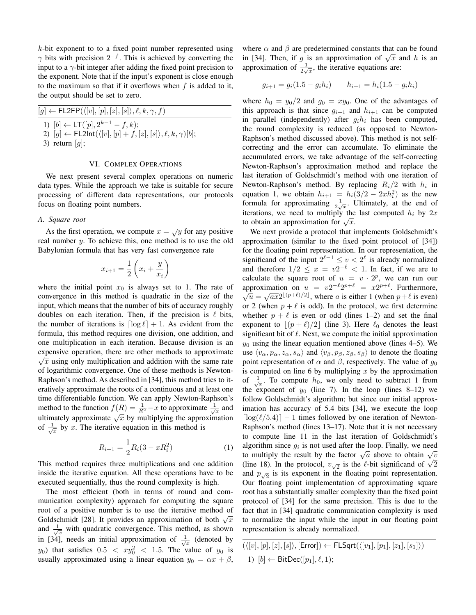$k$ -bit exponent to to a fixed point number represented using  $\gamma$  bits with precision  $2^{-f}$ . This is achieved by converting the input to a  $\gamma$ -bit integer after adding the fixed point precision to the exponent. Note that if the input's exponent is close enough to the maximum so that if it overflows when  $f$  is added to it, the output should be set to zero.

| $[g] \leftarrow \mathsf{FL2FP}(\langle [v], [p], [z], [s] \rangle, \ell, k, \gamma, f)$                                                                               |  |
|-----------------------------------------------------------------------------------------------------------------------------------------------------------------------|--|
| 1) $[b] \leftarrow LT([p], 2^{k-1} - f, k);$<br>2) $[g] \leftarrow \mathsf{FL2Int}(\langle [v], [p] + f, [z], [s] \rangle, \ell, k, \gamma)[b];$<br>3) return $[g]$ ; |  |

#### VI. COMPLEX OPERATIONS

We next present several complex operations on numeric data types. While the approach we take is suitable for secure processing of different data representations, our protocols focus on floating point numbers.

#### *A. Square root*

As the first operation, we compute  $x = \sqrt{y}$  for any positive real number y. To achieve this, one method is to use the old Babylonian formula that has very fast convergence rate

$$
x_{i+1} = \frac{1}{2} \left( x_i + \frac{y}{x_i} \right)
$$

where the initial point  $x_0$  is always set to 1. The rate of convergence in this method is quadratic in the size of the input, which means that the number of bits of accuracy roughly doubles on each iteration. Then, if the precision is  $\ell$  bits, the number of iterations is  $\lceil \log \ell \rceil + 1$ . As evident from the formula, this method requires one division, one addition, and one multiplication in each iteration. Because division is an expensive operation, there are other methods to approximate  $\sqrt{\frac{1}{n}}$  $\sqrt{x}$  using only multiplication and addition with the same rate of logarithmic convergence. One of these methods is Newton-Raphson's method. As described in [34], this method tries to iteratively approximate the roots of a continuous and at least one time differentiable function. We can apply Newton-Raphson's method to the function  $f(R) = \frac{1}{R^2} - x$  to approximate  $\frac{1}{\sqrt{x}}$  and include to the function  $f(x) = R^2$  is the approximate  $\sqrt{x}$  and ultimately approximate  $\sqrt{x}$  by multiplying the approximation of  $\frac{1}{\sqrt{x}}$  by x. The iterative equation in this method is

$$
R_{i+1} = \frac{1}{2}R_i(3 - xR_i^2)
$$
 (1)

This method requires three multiplications and one addition inside the iterative equation. All these operations have to be executed sequentially, thus the round complexity is high.

The most efficient (both in terms of round and communication complexity) approach for computing the square root of a positive number is to use the iterative method of Foot of a positive number is to use the herative method of both  $\sqrt{x}$ and  $\frac{1}{\sqrt{x}}$  with quadratic convergence. This method, as shown in [34], needs an initial approximation of  $\frac{1}{\sqrt{x}}$  (denoted by  $y_0$ ) that satisfies  $0.5 < xy_0^2 < 1.5$ . The value of  $y_0$  is usually approximated using a linear equation  $y_0 = \alpha x + \beta$ , where  $\alpha$  and  $\beta$  are predetermined constants that can be found where  $\alpha$  and  $\rho$  are predetermined constants that can be found<br>in [34]. Then, if g is an approximation of  $\sqrt{x}$  and h is an approximation of  $\frac{1}{2\sqrt{x}}$ , the iterative equations are:

$$
g_{i+1} = g_i(1.5 - g_i h_i) \qquad h_{i+1} = h_i(1.5 - g_i h_i)
$$

where  $h_0 = y_0/2$  and  $g_0 = xy_0$ . One of the advantages of this approach is that since  $g_{i+1}$  and  $h_{i+1}$  can be computed in parallel (independently) after  $g_i h_i$  has been computed, the round complexity is reduced (as opposed to Newton-Raphson's method discussed above). This method is not selfcorrecting and the error can accumulate. To eliminate the accumulated errors, we take advantage of the self-correcting Newton-Raphson's approximation method and replace the last iteration of Goldschmidt's method with one iteration of Newton-Raphson's method. By replacing  $R_i/2$  with  $h_i$  in equation 1, we obtain  $h_{i+1} = h_i(3/2 - 2xh_i^2)$  as the new formula for approximating  $\frac{1}{2\sqrt{x}}$ . Ultimately, at the end of iterations, we need to multiply the last computed  $h_i$  by  $2x$ to obtain an approximation for  $\sqrt{x}$ .

We next provide a protocol that implements Goldschmidt's approximation (similar to the fixed point protocol of [34]) for the floating point representation. In our representation, the significand of the input  $2^{\ell-1} \le v < 2^{\ell}$  is already normalized and therefore  $1/2 \leq x = v2^{-\ell} < 1$ . In fact, if we are to calculate the square root of  $u = v \cdot 2^p$ , we can run our approximation on  $u = v2^{-\ell}2^{p+\ell} = x2^{p+\ell}$ . Furthermore,<br>  $\sqrt{u} = \sqrt{ax}2^{\lfloor (p+\ell)/2 \rfloor}$ , where a is either 1 (when  $p+\ell$  is even) or 2 (when  $p + \ell$  is odd). In the protocol, we first determine whether  $p + \ell$  is even or odd (lines 1–2) and set the final exponent to  $|(p + \ell)/2|$  (line 3). Here  $\ell_0$  denotes the least significant bit of  $\ell$ . Next, we compute the initial approximation  $y_0$  using the linear equation mentioned above (lines 4–5). We use  $\langle v_\alpha, p_\alpha, z_\alpha, s_\alpha \rangle$  and  $\langle v_\beta, p_\beta, z_\beta, s_\beta \rangle$  to denote the floating point representation of  $\alpha$  and  $\beta$ , respectively. The value of  $g_0$ is computed on line 6 by multiplying  $x$  by the approximation of  $\frac{1}{\sqrt{x}}$ . To compute  $h_0$ , we only need to subtract 1 from the exponent of  $y_0$  (line 7). In the loop (lines 8–12) we follow Goldschmidt's algorithm; but since our initial approximation has accuracy of 5.4 bits [34], we execute the loop  $\lceil \log(\ell/5.4) \rceil - 1$  times followed by one iteration of Newton-Raphson's method (lines 13–17). Note that it is not necessary to compute line 11 in the last iteration of Goldschmidt's algorithm since  $g_i$  is not used after the loop. Finally, we need algorithm since  $g_i$  is not used after the loop. Finally, we held<br>to multiply the result by the factor  $\sqrt{a}$  above to obtain  $\sqrt{v}$ to multiply the result by the factor  $\sqrt{a}$  above to obtain  $\sqrt{v}$ <br>(line 18). In the protocol,  $v_{\sqrt{2}}$  is the  $\ell$ -bit significand of  $\sqrt{2}$ and  $p_{\sqrt{2}}$  is its exponent in the floating point representation. Our floating point implementation of approximating square root has a substantially smaller complexity than the fixed point protocol of [34] for the same precision. This is due to the fact that in [34] quadratic communication complexity is used to normalize the input while the input in our floating point representation is already normalized.

| $(\langle [v], [p], [z], [s] \rangle, [\text{Error}] ) \leftarrow \textsf{FLSqrt}(\langle [v_1], [p_1], [z_1], [s_1] \rangle)$ |  |
|--------------------------------------------------------------------------------------------------------------------------------|--|
| 1) $[b] \leftarrow \text{BitDec}([p_1], \ell, 1);$                                                                             |  |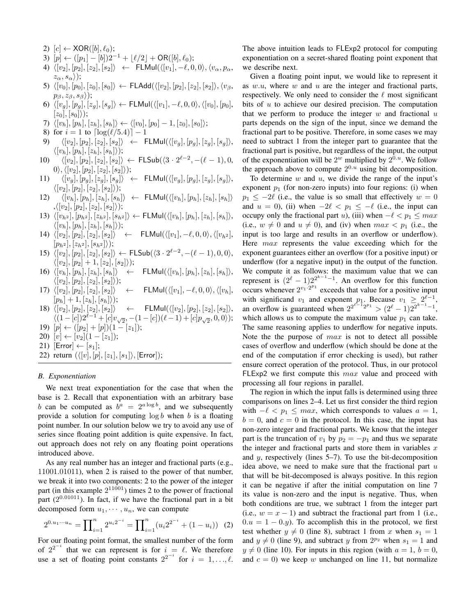3)  $[p] \leftarrow ([p_1] - [b])2^{-1} + \lfloor \ell/2 \rfloor + \text{OR}([b], \ell_0);$ 4)  $\langle [v_2], [p_2], [z_2], [s_2]\rangle$  ← FLMul $(\langle [v_1], -\ell, 0, 0\rangle, \langle v_\alpha, p_\alpha,$  $z_\alpha, s_\alpha\rangle);$ 5)  $\langle [v_0], [p_0], [z_0], [s_0]\rangle \leftarrow \textsf{FLAdd}(\langle [v_2], [p_2], [z_2], [s_2]\rangle, \langle v_\beta,$  $p_{\beta}, z_{\beta}, s_{\beta}$ ); 6)  $\langle [v_g], [p_g], [z_g], [s_g] \rangle \leftarrow \textsf{FLMul}(\langle [v_1], -\ell, 0, 0 \rangle, \langle [v_0], [p_0],$  $[z_0],[s_0]\rangle);$ 7)  $\langle [v_h], [p_h], [z_h], [s_h] \rangle \leftarrow \langle [v_0], [p_0] - 1, [z_0], [s_0] \rangle;$ 8) for  $i = 1$  to  $\lceil \log(\ell/5.4) \rceil - 1$ 9)  $\langle [v_2], [p_2], [z_2], [s_2]\rangle \leftarrow \text{FLMul}(\langle [v_q], [p_q], [z_q], [s_q]\rangle,$  $\langle [v_h], [p_h], [z_h], [s_h] \rangle);$ 10)  $\langle [v_2], [p_2], [z_2], [s_2] \rangle \leftarrow \text{FLSub}(\langle 3 \cdot 2^{\ell-2}, -(\ell-1), 0, \rangle)$  $|0\rangle, \langle [v_2], [p_2], [z_2], [s_2]\rangle);$ 11)  $\langle [v_g], [p_g], [z_g], [s_g]\rangle \leftarrow \text{FLMul}(\langle [v_g], [p_g], [z_g], [s_g]\rangle,$  $\langle [v_2], [p_2], [z_2], [s_2]\rangle);$ 12)  $\langle [v_h], [p_h], [z_h], [s_h] \rangle \leftarrow \text{FLMul}(\langle [v_h], [p_h], [z_h], [s_h] \rangle)$  $,\langle [v_2], [p_2], [z_2], [s_2]\rangle);$ 13)  $\langle [v_{h2}], [p_{h2}], [z_{h2}], [s_{h2}] \rangle \leftarrow \textsf{FLMul}(\langle [v_h], [p_h], [z_h], [s_h] \rangle,$  $\langle [v_h], [p_h], [z_h], [s_h] \rangle);$ 14)  $\langle [v_2], [p_2], [z_2], [s_2]\rangle \leftarrow \text{FLMul}(\langle [v_1], -\ell, 0, 0\rangle, \langle [v_{h^2}],$  $[p_{h^2}], [z_{h^2}], [s_{h^2}]\rangle);$ 15)  $\langle [v_2], [p_2], [z_2], [s_2] \rangle \leftarrow \textsf{FLSub}(\langle 3 \cdot 2^{\ell-2}, -(\ell-1), 0, 0 \rangle,$  $\langle [v_2], [p_2] + 1, [z_2], [s_2] \rangle);$ 16)  $\langle [v_h], [p_h], [z_h], [s_h]\rangle$  ← FLMul $(\langle [v_h], [p_h], [z_h], [s_h]\rangle,$  $\langle [v_2], [p_2], [z_2], [s_2]\rangle);$ 17)  $\langle [v_2], [p_2], [z_2], [s_2]\rangle \quad \leftarrow \quad \textsf{FLMul}(\langle [v_1], -\ell, 0, 0\rangle, \langle [v_h],$  $[p_h] + 1, [z_h], [s_h]\rangle);$ 18)  $\langle [v_2], [p_2], [z_2], [s_2]\rangle \quad \leftarrow \quad \textsf{FLMul}(\langle [v_2], [p_2], [z_2], [s_2]\rangle,$  $\langle (1-[c])2^{\ell-1} + [c]v_{\sqrt{2}}, -(1-[c])(\ell-1) + [c]p_{\sqrt{2}}, 0, 0 \rangle);$ 19)  $[p] \leftarrow ([p_2] + [p])(1 - [z_1])$ ; 20)  $[v] \leftarrow [v_2](1 - [z_1])$ ; 21)  $[Error] \leftarrow [s_1];$ 22) return  $(\langle [v], [p], [z_1], [s_1] \rangle, [\text{Error}]);$ 

#### *B. Exponentiation*

2)  $[c] \leftarrow XOR([b], \ell_0);$ 

We next treat exponentiation for the case that when the base is 2. Recall that exponentiation with an arbitrary base b can be computed as  $b^a = 2^{a \log b}$ , and we subsequently provide a solution for computing  $\log b$  when b is a floating point number. In our solution below we try to avoid any use of series since floating point addition is quite expensive. In fact, out approach does not rely on any floating point operations introduced above.

As any real number has an integer and fractional parts (e.g., 11001.01011), when 2 is raised to the power of that number, we break it into two components: 2 to the power of the integer part (in this example  $2^{11001}$ ) times 2 to the power of fractional part  $(2^{0.01011})$ . In fact, if we have the fractional part in a bit decomposed form  $u_1, \dots, u_n$ , we can compute

$$
2^{0.u_1\cdots u_n} = \prod_{i=1}^n 2^{u_i 2^{-i}} = \prod_{i=1}^n (u_i 2^{2^{-i}} + (1 - u_i))
$$
 (2)

For our floating point format, the smallest number of the form of  $2^{2^{-i}}$  that we can represent is for  $i = \ell$ . We therefore use a set of floating point constants  $2^{2^{-i}}$  for  $i = 1, ..., \ell$ .

The above intuition leads to FLExp2 protocol for computing exponentiation on a secret-shared floating point exponent that we describe next.

Given a floating point input, we would like to represent it as  $w.u$ , where  $w$  and  $u$  are the integer and fractional parts, respectively. We only need to consider the  $\ell$  most significant bits of  $u$  to achieve our desired precision. The computation that we perform to produce the integer  $w$  and fractional  $u$ parts depends on the sign of the input, since we demand the fractional part to be positive. Therefore, in some cases we may need to subtract 1 from the integer part to guarantee that the fractional part is positive, but regardless of the input, the output of the exponentiation will be  $2^w$  multiplied by  $2^{0.u}$ . We follow the approach above to compute  $2^{0.u}$  using bit decomposition.

To determine  $w$  and  $u$ , we divide the range of the input's exponent  $p_1$  (for non-zero inputs) into four regions: (i) when  $p_1 \leq -2\ell$  (i.e., the value is so small that effectively  $w = 0$ and  $u = 0$ ), (ii) when  $-2\ell < p_1 \le -\ell$  (i.e., the input can occupy only the fractional part u), (iii) when  $-\ell < p_1 \leq max$ (i.e.,  $w \neq 0$  and  $u \neq 0$ ), and (iv) when  $max < p_1$  (i.e., the input is too large and results in an overflow or underflow). Here  $max$  represents the value exceeding which for the exponent guarantees either an overflow (for a positive input) or underflow (for a negative input) in the output of the function. We compute it as follows: the maximum value that we can represent is  $(2^{\ell} - 1)2^{2^{k-1}-1}$ . An overflow for this function occurs whenever  $2^{v_1 \cdot 2^{p_1}}$  exceeds that value for a positive input with significand  $v_1$  and exponent  $p_1$ . Because  $v_1 \geq 2^{\ell-1}$ , an overflow is guaranteed when  $2^{2^{\ell-1}2^{p_1}} > (2^{\ell}-1)2^{2^{k-1}-1}$ , which allows us to compute the maximum value  $p_1$  can take. The same reasoning applies to underflow for negative inputs. Note the the purpose of  $max$  is not to detect all possible cases of overflow and underflow (which should be done at the end of the computation if error checking is used), but rather ensure correct operation of the protocol. Thus, in our protocol FLExp2 we first compute this  $max$  value and proceed with processing all four regions in parallel.

The region in which the input falls is determined using three comparisons on lines 2–4. Let us first consider the third region with  $-\ell < p_1 \leq max$ , which corresponds to values  $a = 1$ ,  $b = 0$ , and  $c = 0$  in the protocol. In this case, the input has non-zero integer and fractional parts. We know that the integer part is the truncation of  $v_1$  by  $p_2 = -p_1$  and thus we separate the integer and fractional parts and store them in variables  $x$ and  $y$ , respectively (lines 5–7). To use the bit-decomposition idea above, we need to make sure that the fractional part  $u$ that will be bit-decomposed is always positive. In this region it can be negative if after the initial computation on line 7 its value is non-zero and the input is negative. Thus, when both conditions are true, we subtract 1 from the integer part (i.e.,  $w = x - 1$ ) and subtract the fractional part from 1 (i.e.,  $0.u = 1 - 0.y$ . To accomplish this in the protocol, we first test whether  $y \neq 0$  (line 8), subtract 1 from x when  $s_1 = 1$ and  $y \neq 0$  (line 9), and subtract y from  $2^{p_2}$  when  $s_1 = 1$  and  $y \neq 0$  (line 10). For inputs in this region (with  $a = 1, b = 0$ , and  $c = 0$ ) we keep w unchanged on line 11, but normalize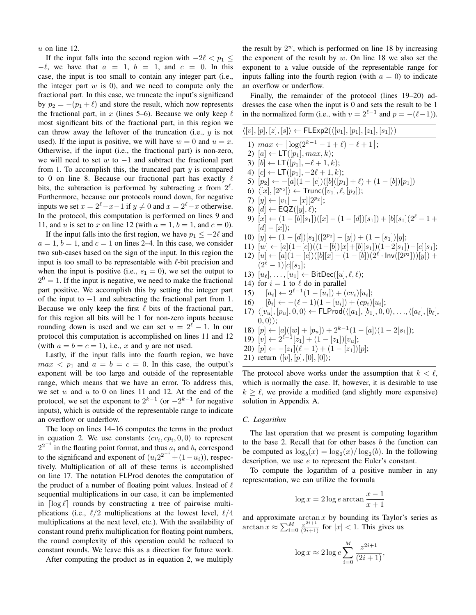$u$  on line 12.

If the input falls into the second region with  $-2\ell < p_1 \leq$  $-\ell$ , we have that  $a = 1$ ,  $b = 1$ , and  $c = 0$ . In this case, the input is too small to contain any integer part (i.e., the integer part  $w$  is 0), and we need to compute only the fractional part. In this case, we truncate the input's significand by  $p_2 = -(p_1 + \ell)$  and store the result, which now represents the fractional part, in x (lines 5–6). Because we only keep  $\ell$ most significant bits of the fractional part, in this region we can throw away the leftover of the truncation (i.e.,  $y$  is not used). If the input is positive, we will have  $w = 0$  and  $u = x$ . Otherwise, if the input (i.e., the fractional part) is non-zero, we will need to set w to  $-1$  and subtract the fractional part from 1. To accomplish this, the truncated part  $y$  is compared to 0 on line 8. Because our fractional part has exactly  $\ell$ bits, the subtraction is performed by subtracting x from  $2^{\ell}$ . Furthermore, because our protocols round down, for negative inputs we set  $x = 2^{\ell} - x - 1$  if  $y \neq 0$  and  $x = 2^{\ell} - x$  otherwise. In the protocol, this computation is performed on lines 9 and 11, and u is set to x on line 12 (with  $a = 1$ ,  $b = 1$ , and  $c = 0$ ).

If the input falls into the first region, we have  $p_1 \le -2\ell$  and  $a = 1$ ,  $b = 1$ , and  $c = 1$  on lines 2–4. In this case, we consider two sub-cases based on the sign of the input. In this region the input is too small to be representable with  $\ell$ -bit precision and when the input is positive (i.e.,  $s_1 = 0$ ), we set the output to  $2<sup>0</sup> = 1$ . If the input is negative, we need to make the fractional part positive. We accomplish this by setting the integer part of the input to −1 and subtracting the fractional part from 1. Because we only keep the first  $\ell$  bits of the fractional part, for this region all bits will be 1 for non-zero inputs because rounding down is used and we can set  $u = 2^{\ell} - 1$ . In our protocol this computation is accomplished on lines 11 and 12 (with  $a = b = c = 1$ ), i.e., x and y are not used.

Lastly, if the input falls into the fourth region, we have  $max < p_1$  and  $a = b = c = 0$ . In this case, the output's exponent will be too large and outside of the representable range, which means that we have an error. To address this, we set  $w$  and  $u$  to 0 on lines 11 and 12. At the end of the protocol, we set the exponent to  $2^{k-1}$  (or  $-2^{k-1}$  for negative inputs), which is outside of the representable range to indicate an overflow or underflow.

The loop on lines 14–16 computes the terms in the product in equation 2. We use constants  $\langle cv_i, cp_i, 0, 0 \rangle$  to represent  $2^{2^{-i}}$  in the floating point format, and thus  $a_i$  and  $b_i$  correspond to the significand and exponent of  $(u_i 2^{2^{-i}} + (1 - u_i))$ , respectively. Multiplication of all of these terms is accomplished on line 17. The notation FLProd denotes the computation of the product of a number of floating point values. Instead of  $\ell$ sequential multiplications in our case, it can be implemented in  $\lceil \log \ell \rceil$  rounds by constructing a tree of pairwise multiplications (i.e.,  $\ell/2$  multiplications at the lowest level,  $\ell/4$ multiplications at the next level, etc.). With the availability of constant round prefix multiplication for floating point numbers, the round complexity of this operation could be reduced to constant rounds. We leave this as a direction for future work.

After computing the product as in equation 2, we multiply

the result by  $2^w$ , which is performed on line 18 by increasing the exponent of the result by  $w$ . On line 18 we also set the exponent to a value outside of the representable range for inputs falling into the fourth region (with  $a = 0$ ) to indicate an overflow or underflow.

Finally, the remainder of the protocol (lines 19–20) addresses the case when the input is 0 and sets the result to be 1 in the normalized form (i.e., with  $v = 2^{\ell-1}$  and  $p = -(\ell-1)$ ).

| $\langle [v], [p], [z], [s] \rangle \leftarrow \mathsf{FLExp2}(\langle [v_1], [p_1], [z_1], [s_1] \rangle)$                              |
|------------------------------------------------------------------------------------------------------------------------------------------|
| 1) $max \leftarrow \left[\log(2^{k-1} - 1 + \ell) - \ell + 1\right]$ ;                                                                   |
| 2) $[a] \leftarrow \mathsf{LT}([p_1], max, k);$                                                                                          |
| 3) $[b] \leftarrow LT([p_1], -\ell + 1, k);$                                                                                             |
| 4) $[c] \leftarrow LT([p_1], -2\ell+1, k);$                                                                                              |
| 5) $[p_2] \leftarrow -[a](1-[c])([b]([p_1] + \ell) + (1-[b])[p_1])$                                                                      |
| 6) $\langle [x], [2^{p_2}] \rangle \leftarrow \text{Trunc}([v_1], \ell, [p_2])$ ;                                                        |
| 7) $[y] \leftarrow [v_1] - [x][2^{p_2}];$                                                                                                |
| 8) $[d] \leftarrow \mathsf{EQZ}([y], \ell);$                                                                                             |
| 9) $[x] \leftarrow (1 - [b][s_1])([x] - (1 - [d])[s_1]) + [b][s_1](2^{\ell} - 1 +$                                                       |
| $[d] - [x]$ ;                                                                                                                            |
| 10) $[y] \leftarrow (1 - [d])[s_1]([2^{p_2}]-[y]) + (1 - [s_1])[y];$                                                                     |
| 11) $[w] \leftarrow [a](1-[c])((1-[b])[x]+[b][s_1])(1-2[s_1])-[c][s_1];$                                                                 |
| 12) $[u] \leftarrow [a](1-[c])([b][x] + (1-[b])(2^{\ell} \cdot Inv([2^{p_2}]))[y]) +$                                                    |
| $(2^{\ell}-1)[c][s_1];$                                                                                                                  |
| 13) $[u_{\ell}], \ldots, [u_1] \leftarrow \text{BitDec}([u], \ell, \ell);$                                                               |
| 14) for $i = 1$ to $\ell$ do in parallel                                                                                                 |
| 15) $[a_i] \leftarrow 2^{\ell-1}(1 - [u_i]) + (cv_i)[u_i];$                                                                              |
| 16) $[b_i] \leftarrow -(\ell-1)(1-[u_i])+(cp_i)[u_i];$                                                                                   |
| 17) $\langle [v_u], [p_u], 0, 0 \rangle \leftarrow \text{FLProd}(\langle [a_1], [b_1], 0, 0 \rangle, \dots, \langle [a_\ell], [b_\ell],$ |
| $(0,0)$ ;                                                                                                                                |
| 18) $[p] \leftarrow [a]([w] + [p_u]) + 2^{k-1}(1 - [a])(1 - 2[s_1])$ ;                                                                   |
| $10\sqrt{11}$ $\theta=-11$ . $1+(1-1)$ . $1\sqrt{1}$                                                                                     |

- 19)  $[v] \leftarrow 2^{\ell-1}[z_1] + (1-[z_1])[v_u];$
- 20)  $[p] \leftarrow -[z_1](\ell 1) + (1 [z_1])[p];$
- 21) return  $\langle [v], [p], [0], [0] \rangle;$

The protocol above works under the assumption that  $k < \ell$ , which is normally the case. If, however, it is desirable to use  $k \geq \ell$ , we provide a modified (and slightly more expensive) solution in Appendix A.

#### *C. Logarithm*

The last operation that we present is computing logarithm to the base 2. Recall that for other bases  $b$  the function can be computed as  $\log_b(x) = \log_2(x) / \log_2(b)$ . In the following description, we use e to represent the Euler's constant.

To compute the logarithm of a positive number in any representation, we can utilize the formula

$$
\log x = 2 \log e \arctan \frac{x-1}{x+1}
$$

and approximate  $\arctan x$  by bounding its Taylor's series as  $\arctan x \approx \sum_{i=0}^{M} \frac{x^{2i+1}}{(2i+1)}$  for  $|x| < 1$ . This gives us

$$
\log x \approx 2 \log e \sum_{i=0}^{M} \frac{z^{2i+1}}{(2i+1)},
$$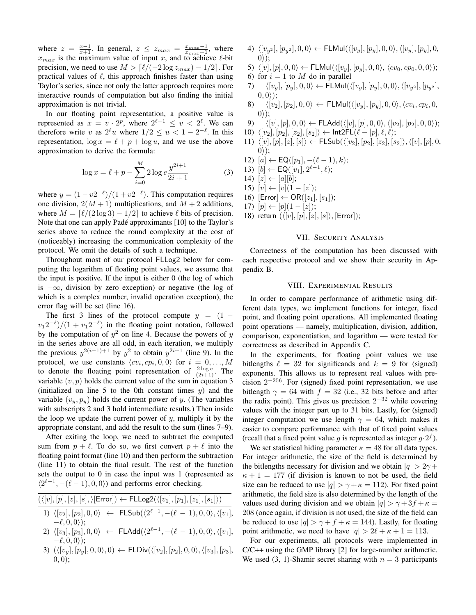where  $z = \frac{x-1}{x+1}$ . In general,  $z \le z_{max} = \frac{x_{max}-1}{x_{max}+1}$ , where  $x_{max}$  is the maximum value of input x, and to achieve  $\ell$ -bit precision, we need to use  $M > \lceil \ell/(-2 \log z_{max}) - 1/2 \rceil$ . For practical values of  $\ell$ , this approach finishes faster than using Taylor's series, since not only the latter approach requires more interactive rounds of computation but also finding the initial approximation is not trivial.

In our floating point representation, a positive value is represented as  $x = v \cdot 2^p$ , where  $2^{\ell-1} \le v < 2^{\ell}$ . We can therefore write v as  $2^{\ell}u$  where  $1/2 \le u < 1-2^{-\ell}$ . In this representation,  $\log x = \ell + p + \log u$ , and we use the above approximation to derive the formula:

$$
\log x = \ell + p - \sum_{i=0}^{M} 2 \log e \frac{y^{2i+1}}{2i+1}
$$
 (3)

where  $y = (1 - v2^{-\ell})/(1 + v2^{-\ell})$ . This computation requires one division,  $2(M + 1)$  multiplications, and  $M + 2$  additions, where  $M = \lceil \ell/(2 \log 3) - 1/2 \rceil$  to achieve  $\ell$  bits of precision. Note that one can apply Padé approximants [10] to the Taylor's series above to reduce the round complexity at the cost of (noticeably) increasing the communication complexity of the protocol. We omit the details of such a technique.

Throughout most of our protocol FLLog2 below for computing the logarithm of floating point values, we assume that the input is positive. If the input is either 0 (the log of which is  $-\infty$ , division by zero exception) or negative (the log of which is a complex number, invalid operation exception), the error flag will be set (line 16).

The first 3 lines of the protocol compute  $y = (1$  $v_1 2^{-\ell}$ )/(1 +  $v_1 2^{-\ell}$ ) in the floating point notation, followed by the computation of  $y^2$  on line 4. Because the powers of y in the series above are all odd, in each iteration, we multiply the previous  $y^{2(i-1)+1}$  by  $y^2$  to obtain  $y^{2i+1}$  (line 9). In the protocol, we use constants  $\langle cv_i, cp_i, 0, 0 \rangle$  for  $i = 0, ..., M$ to denote the floating point representation of  $\frac{2 \log e}{(2i+1)}$ . The variable  $(v, p)$  holds the current value of the sum in equation 3 (initialized on line  $5$  to the 0th constant times  $y$ ) and the variable  $(v_y, p_y)$  holds the current power of y. (The variables with subscripts 2 and 3 hold intermediate results.) Then inside the loop we update the current power of  $y$ , multiply it by the appropriate constant, and add the result to the sum (lines 7–9).

After exiting the loop, we need to subtract the computed sum from  $p + \ell$ . To do so, we first convert  $p + \ell$  into the floating point format (line 10) and then perform the subtraction (line 11) to obtain the final result. The rest of the function sets the output to 0 in case the input was 1 (represented as  $\langle 2^{\ell-1}, -(\ell-1), 0, 0 \rangle$  and performs error checking.

 $(\langle [v], [p], [z], [s],\rangle[\textsf{Error}]) \leftarrow \textsf{FLLog2}(\langle [v_1], [p_1], [z_1], [s_1]\rangle)$ 

- 1)  $\langle [v_2], [p_2], 0, 0 \rangle \leftarrow \text{FLSub}(\langle 2^{\ell-1}, -(\ell-1), 0, 0 \rangle, \langle [v_1],$  $-\ell, 0, 0$ );
- $2) \ \ \langle [v_3], [p_3], 0, 0 \rangle \ \ \leftarrow \ \ \mathsf{FLAdd}(\langle 2^{\ell 1}, -(\ell 1), 0, 0 \rangle, \langle [v_1],$  $-\ell, 0, 0$ );
- 3)  $(\langle [v_y], [p_y], 0, 0 \rangle, 0) \leftarrow \text{FLDiv}(\langle [v_2], [p_2], 0, 0 \rangle, \langle [v_3], [p_3],$  $(0, 0);$
- 4)  $\langle [v_{y^2}] , [p_{y^2}] , 0, 0 \rangle \leftarrow \textsf{FLMul}(\langle [v_y], [p_y], 0, 0 \rangle, \langle [v_y], [p_y], 0,$  $0$ );
- 5)  $\langle [v], [p], 0, 0 \rangle \leftarrow \textsf{FLMul}(\langle [v_y], [p_y], 0, 0 \rangle, \langle cv_0, cp_0, 0, 0 \rangle);$
- 6) for  $i = 1$  to M do in parallel
- 7)  $\langle [v_y], [p_y], 0, 0 \rangle \leftarrow \text{FLMul}(\langle [v_y], [p_y], 0, 0 \rangle, \langle [v_{y^2}], [p_{y^2}],$  $(0,0)$ ;
- 8)  $\langle [v_2], [p_2], 0, 0 \rangle \leftarrow \textsf{FLMul}(\langle [v_y], [p_y], 0, 0 \rangle, \langle cv_i, cp_i, 0,$  $0$ );
- $9) \qquad \langle [v], [p], 0, 0\rangle \leftarrow {\sf FLAdd}(\langle [v], [p], 0, 0\rangle, \langle [v_2], [p_2], 0, 0\rangle);$
- 10)  $\langle [v_2], [p_2], [z_2], [s_2] \rangle \leftarrow \text{Int2FL}(\ell [p], \ell, \ell);$
- 11)  $\langle [v], [p], [z], [s] \rangle \leftarrow \mathsf{FLSub}(\langle [v_2], [p_2], [z_2], [s_2] \rangle, \langle [v], [p], 0,$  $0$ );
- 12)  $[a] \leftarrow \mathsf{EQ}([p_1], -(\ell 1), k);$
- 13)  $[b] \leftarrow \mathsf{EQ}([v_1], 2^{\ell-1}, \ell);$
- 14)  $[z] \leftarrow [a][b];$
- 15)  $[v] \leftarrow [v](1-[z]);$
- 16)  $[Error] \leftarrow OR([z_1],[s_1])$ ;
- 17)  $[p] \leftarrow [p](1 [z])$ ;
- 18) return  $({\langle[v],[p],[z],[s]\rangle}, [Error]);$

# VII. SECURITY ANALYSIS

Correctness of the computation has been discussed with each respective protocol and we show their security in Appendix B.

#### VIII. EXPERIMENTAL RESULTS

In order to compare performance of arithmetic using different data types, we implement functions for integer, fixed point, and floating point operations. All implemented floating point operations — namely, multiplication, division, addition, comparison, exponentiation, and logarithm — were tested for correctness as described in Appendix C.

In the experiments, for floating point values we use bitlengths  $\ell = 32$  for significands and  $k = 9$  for (signed) exponents. This allows us to represent real values with precision  $2^{-256}$ . For (signed) fixed point representation, we use bitlength  $\gamma = 64$  with  $f = 32$  (i.e., 32 bits before and after the radix point). This gives us precision  $2^{-32}$  while covering values with the integer part up to 31 bits. Lastly, for (signed) integer computation we use length  $\gamma = 64$ , which makes it easier to compare performance with that of fixed point values (recall that a fixed point value g is represented as integer  $g \cdot 2^f$ ).

We set statistical hiding parameter  $\kappa = 48$  for all data types. For integer arithmetic, the size of the field is determined by the bitlengths necessary for division and we obtain  $|q| > 2\gamma +$  $\kappa + 1 = 177$  (if division is known to not be used, the field size can be reduced to use  $|q| > \gamma + \kappa = 112$ ). For fixed point arithmetic, the field size is also determined by the length of the values used during division and we obtain  $|q| > \gamma + 3f + \kappa =$ 208 (once again, if division is not used, the size of the field can be reduced to use  $|q| > \gamma + f + \kappa = 144$ ). Lastly, for floating point arithmetic, we need to have  $|q| > 2\ell + \kappa + 1 = 113$ .

For our experiments, all protocols were implemented in C/C++ using the GMP library [2] for large-number arithmetic. We used (3, 1)-Shamir secret sharing with  $n = 3$  participants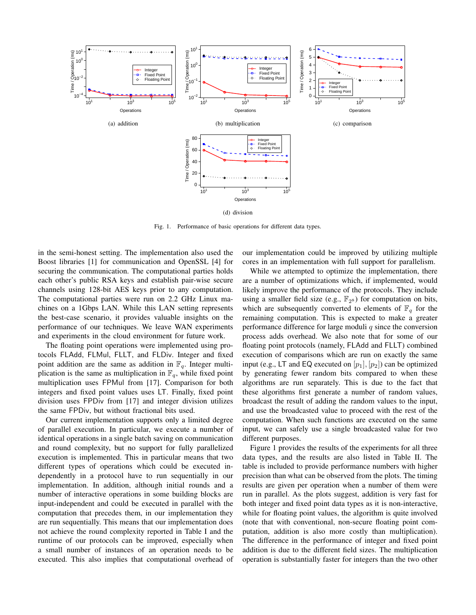

Fig. 1. Performance of basic operations for different data types.

in the semi-honest setting. The implementation also used the Boost libraries [1] for communication and OpenSSL [4] for securing the communication. The computational parties holds each other's public RSA keys and establish pair-wise secure channels using 128-bit AES keys prior to any computation. The computational parties were run on 2.2 GHz Linux machines on a 1Gbps LAN. While this LAN setting represents the best-case scenario, it provides valuable insights on the performance of our techniques. We leave WAN experiments and experiments in the cloud environment for future work.

The floating point operations were implemented using protocols FLAdd, FLMul, FLLT, and FLDiv. Integer and fixed point addition are the same as addition in  $\mathbb{F}_q$ . Integer multiplication is the same as multiplication in  $\mathbb{F}_q$ , while fixed point multiplication uses FPMul from [17]. Comparison for both integers and fixed point values uses LT. Finally, fixed point division uses FPDiv from [17] and integer division utilizes the same FPDiv, but without fractional bits used.

Our current implementation supports only a limited degree of parallel execution. In particular, we execute a number of identical operations in a single batch saving on communication and round complexity, but no support for fully parallelized execution is implemented. This in particular means that two different types of operations which could be executed independently in a protocol have to run sequentially in our implementation. In addition, although initial rounds and a number of interactive operations in some building blocks are input-independent and could be executed in parallel with the computation that precedes them, in our implementation they are run sequentially. This means that our implementation does not achieve the round complexity reported in Table I and the runtime of our protocols can be improved, especially when a small number of instances of an operation needs to be executed. This also implies that computational overhead of our implementation could be improved by utilizing multiple cores in an implementation with full support for parallelism.

While we attempted to optimize the implementation, there are a number of optimizations which, if implemented, would likely improve the performance of the protocols. They include using a smaller field size (e.g.,  $\mathbb{F}_{2^8}$ ) for computation on bits, which are subsequently converted to elements of  $\mathbb{F}_q$  for the remaining computation. This is expected to make a greater performance difference for large moduli  $q$  since the conversion process adds overhead. We also note that for some of our floating point protocols (namely, FLAdd and FLLT) combined execution of comparisons which are run on exactly the same input (e.g., LT and EQ executed on  $[p_1], [p_2]$ ) can be optimized by generating fewer random bits compared to when these algorithms are run separately. This is due to the fact that these algorithms first generate a number of random values, broadcast the result of adding the random values to the input, and use the broadcasted value to proceed with the rest of the computation. When such functions are executed on the same input, we can safely use a single broadcasted value for two different purposes.

Figure 1 provides the results of the experiments for all three data types, and the results are also listed in Table II. The table is included to provide performance numbers with higher precision than what can be observed from the plots. The timing results are given per operation when a number of them were run in parallel. As the plots suggest, addition is very fast for both integer and fixed point data types as it is non-interactive, while for floating point values, the algorithm is quite involved (note that with conventional, non-secure floating point computation, addition is also more costly than multiplication). The difference in the performance of integer and fixed point addition is due to the different field sizes. The multiplication operation is substantially faster for integers than the two other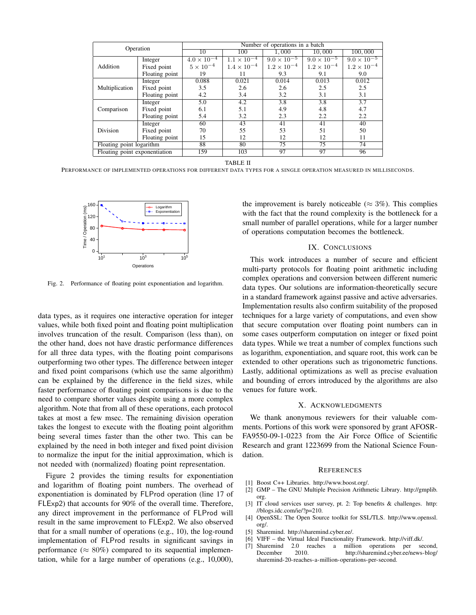| Operation                     |                | Number of operations in a batch |                      |                      |                      |                      |
|-------------------------------|----------------|---------------------------------|----------------------|----------------------|----------------------|----------------------|
|                               |                | 10                              | 100                  | 1,000                | 10,000               | 100,000              |
|                               | Integer        | $4.0 \times 10^{-4}$            | $1.1 \times 10^{-4}$ | $9.0 \times 10^{-5}$ | $9.0 \times 10^{-5}$ | $9.0 \times 10^{-5}$ |
| Addition                      | Fixed point    | $5 \times 10^{-4}$              | $1.4 \times 10^{-4}$ | $1.2 \times 10^{-4}$ | $1.2 \times 10^{-4}$ | $1.2 \times 10^{-4}$ |
|                               | Floating point | 19                              | 11                   | 9.3                  | 9.1                  | 9.0                  |
|                               | Integer        | 0.088                           | 0.021                | 0.014                | 0.013                | 0.012                |
| Multiplication                | Fixed point    | 3.5                             | 2.6                  | 2.6                  | 2.5                  | 2.5                  |
|                               | Floating point | 4.2                             | 3.4                  | 3.2                  | 3.1                  | 3.1                  |
|                               | Integer        | 5.0                             | 4.2                  | $\overline{3.8}$     | $\overline{3.8}$     | $\overline{3.7}$     |
| Comparison                    | Fixed point    | 6.1                             | 5.1                  | 4.9                  | 4.8                  | 4.7                  |
|                               | Floating point | 5.4                             | 3.2                  | 2.3                  | 2.2                  | 2.2                  |
|                               | Integer        | 60                              | 43                   | 41                   | 41                   | 40                   |
| Division                      | Fixed point    | 70                              | 55                   | 53                   | 51                   | 50                   |
|                               | Floating point | 15                              | 12                   | 12                   | 12                   | 11                   |
| Floating point logarithm      |                | 88                              | 80                   | 75                   | 75                   | 74                   |
| Floating point exponentiation |                | 159                             | 103                  | 97                   | 97                   | 96                   |

TABLE II

PERFORMANCE OF IMPLEMENTED OPERATIONS FOR DIFFERENT DATA TYPES FOR A SINGLE OPERATION MEASURED IN MILLISECONDS.



Fig. 2. Performance of floating point exponentiation and logarithm.

data types, as it requires one interactive operation for integer values, while both fixed point and floating point multiplication involves truncation of the result. Comparison (less than), on the other hand, does not have drastic performance differences for all three data types, with the floating point comparisons outperforming two other types. The difference between integer and fixed point comparisons (which use the same algorithm) can be explained by the difference in the field sizes, while faster performance of floating point comparisons is due to the need to compare shorter values despite using a more complex algorithm. Note that from all of these operations, each protocol takes at most a few msec. The remaining division operation takes the longest to execute with the floating point algorithm being several times faster than the other two. This can be explained by the need in both integer and fixed point division to normalize the input for the initial approximation, which is not needed with (normalized) floating point representation.

Figure 2 provides the timing results for exponentiation and logarithm of floating point numbers. The overhead of exponentiation is dominated by FLProd operation (line 17 of FLExp2) that accounts for 90% of the overall time. Therefore, any direct improvement in the performance of FLProd will result in the same improvement to FLExp2. We also observed that for a small number of operations (e.g., 10), the log-round implementation of FLProd results in significant savings in performance ( $\approx 80\%$ ) compared to its sequential implementation, while for a large number of operations (e.g., 10,000), the improvement is barely noticeable ( $\approx 3\%$ ). This complies with the fact that the round complexity is the bottleneck for a small number of parallel operations, while for a larger number of operations computation becomes the bottleneck.

#### IX. CONCLUSIONS

This work introduces a number of secure and efficient multi-party protocols for floating point arithmetic including complex operations and conversion between different numeric data types. Our solutions are information-theoretically secure in a standard framework against passive and active adversaries. Implementation results also confirm suitability of the proposed techniques for a large variety of computations, and even show that secure computation over floating point numbers can in some cases outperform computation on integer or fixed point data types. While we treat a number of complex functions such as logarithm, exponentiation, and square root, this work can be extended to other operations such as trigonometric functions. Lastly, additional optimizations as well as precise evaluation and bounding of errors introduced by the algorithms are also venues for future work.

#### X. ACKNOWLEDGMENTS

We thank anonymous reviewers for their valuable comments. Portions of this work were sponsored by grant AFOSR-FA9550-09-1-0223 from the Air Force Office of Scientific Research and grant 1223699 from the National Science Foundation.

#### **REFERENCES**

- [1] Boost C++ Libraries. http://www.boost.org/.
- [2] GMP The GNU Multiple Precision Arithmetic Library. http://gmplib. org.
- [3] IT cloud services user survey, pt. 2: Top benefits & challenges. http: //blogs.idc.com/ie/?p=210.
- [4] OpenSSL: The Open Source toolkit for SSL/TLS. http://www.openssl. org/.
- [5] Sharemind. http://sharemind.cyber.ee/.
- [6] VIFF the Virtual Ideal Functionality Framework. http://viff.dk/.
- [7] Sharemind 2.0 reaches a million operations per second, December 2010. http://sharemind.cyber.ee/news-blog/ sharemind-20-reaches-a-million-operations-per-second.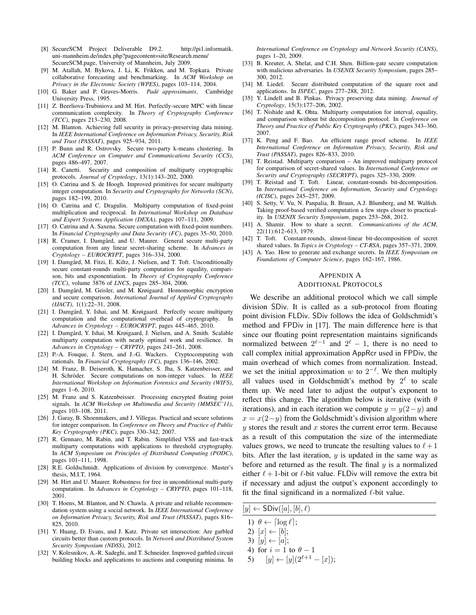- [8] SecureSCM Project Deliverable D9.2. http://pi1.informatik. uni-mannheim.de/index.php?pagecontent=site/Research.menu/ SecureSCM.page, University of Mannheim, July 2009.
- [9] M. Atallah, M. Bykova, J. Li, K. Frikken, and M. Topkara. Private collaborative forecasting and benchmarking. In *ACM Workshop on Privacy in the Electronic Society (WPES)*, pages 103–114, 2004.
- [10] G. Baker and P. Graves-Morris. *Padé approximants*. Cambridge University Press, 1995.
- [11] Z. Beerliova-Trubiniova and M. Hirt. Perfectly-secure MPC with linear communication complexity. In *Theory of Cryptography Conference (TCC)*, pages 213–230, 2008.
- [12] M. Blanton. Achieving full security in privacy-preserving data mining. In *IEEE International Conference on Information Privacy, Security, Risk and Trust (PASSAT)*, pages 925–934, 2011.
- [13] P. Bunn and R. Ostrovsky. Secure two-party k-means clustering. In *ACM Conference on Computer and Communications Security (CCS)*, pages 486–497, 2007.
- [14] R. Canetti. Security and composition of multiparty cryptographic protocols. *Journal of Cryptology*, 13(1):143–202, 2000.
- [15] O. Catrina and S. de Hoogh. Improved primitives for secure multiparty integer computation. In *Security and Cryptography for Networks (SCN)*, pages 182–199, 2010.
- [16] O. Catrina and C. Dragulin. Multiparty computation of fixed-point multiplication and reciprocal. In *International Workshop on Database and Expert Systems Application (DEXA)*, pages 107–111, 2009.
- [17] O. Catrina and A. Saxena. Secure computation with fixed-point numbers. In *Financial Cryptography and Data Security (FC)*, pages 35–50, 2010.
- [18] R. Cramer, I. Damgård, and U. Maurer. General secure multi-party computation from any linear secret-sharing scheme. In *Advances in Cryptology – EUROCRYPT*, pages 316–334, 2000.
- [19] I. Damgård, M. Fitzi, E. Kiltz, J. Nielsen, and T. Toft. Unconditionally secure constant-rounds multi-party computation for equality, comparison, bits and exponentiation. In *Theory of Cryptography Conference (TCC)*, volume 3876 of *LNCS*, pages 285–304, 2006.
- [20] I. Damgård, M. Geisler, and M. Krøigaard. Homomorphic encryption and secure comparison. *International Journal of Applied Cryptography (IJACT)*, 1(1):22–31, 2008.
- [21] I. Damgård, Y. Ishai, and M. Krøigaard. Perfectly secure multiparty computation and the computational overhead of cryptography. In *Advances in Cryptology – EUROCRYPT*, pages 445–465, 2010.
- [22] I. Damgård, Y. Ishai, M. Krøigaard, J. Nielsen, and A. Smith. Scalable multiparty computation with nearly optimal work and resilience. In *Advances in Cryptology – CRYPTO*, pages 241–261, 2008.
- [23] P.-A. Fouque, J. Stern, and J.-G. Wackers. Cryptocomputing with rationals. In *Financial Cryptography (FC)*, pages 136–146, 2002.
- [24] M. Franz, B. Deiseroth, K. Hamacher, S. Jha, S. Katzenbeisser, and H. Schröder. Secure computations on non-integer values. In IEEE *International Workshop on Information Forensics and Security (WIFS)*, pages 1–6, 2010.
- [25] M. Franz and S. Katzenbeisser. Processing encrypted floating point signals. In *ACM Workshop on Multimedia and Security (MMSEC'11)*, pages 103–108, 2011.
- [26] J. Garay, B. Shoenmakers, and J. Villegas. Practical and secure solutions for integer comparison. In *Conference on Theory and Practice of Public Key Cryptography (PKC)*, pages 330–342, 2007.
- [27] R. Gennaro, M. Rabin, and T. Rabin. Simplified VSS and fast-track multiparty computations with applications to threshold cryptography. In *ACM Symposium on Principles of Distributed Computing (PODC)*, pages 101–111, 1998.
- [28] R.E. Goldschmidt. Applications of division by convergence. Master's thesis, M.I.T, 1964.
- [29] M. Hirt and U. Maurer. Robustness for free in unconditional multi-party computation. In *Advances in Cryptology – CRYPTO*, pages 101–118, 2001.
- [30] T. Hoens, M. Blanton, and N. Chawla. A private and reliable recommendation system using a social network. In *IEEE International Conference on Information Privacy, Security, Risk and Trust (PASSAT)*, pages 816– 825, 2010.
- [31] Y. Huang, D. Evans, and J. Katz. Private set intersection: Are garbled circuits better than custom protocols. In *Network and Distributed System Security Symposium (NDSS)*, 2012.
- [32] V. Kolesnikov, A.-R. Sadeghi, and T. Schneider. Improved garbled circuit building blocks and applications to auctions and computing minima. In

*International Conference on Cryptology and Network Security (CANS)*, pages 1–20, 2009.

- [33] B. Kreuter, A. Shelat, and C.H. Shen. Billion-gate secure computation with malicious adversaries. In *USENIX Security Symposium*, pages 285– 300, 2012.<br>[34] M. Liedel.
- Secure distributed computation of the square root and applications. In *ISPEC*, pages 277–288, 2012.
- [35] Y. Lindell and B. Pinkas. Privacy preserving data mining. *Journal of Cryptology*, 15(3):177–206, 2002.
- [36] T. Nishide and K. Ohta. Multiparty computation for interval, equality, and comparison without bit decomposition protocol. In *Conference on Theory and Practice of Public Key Cryptography (PKC)*, pages 343–360, 2007.
- [37] K. Peng and F. Bao. An efficient range proof scheme. In *IEEE International Conference on Information Privacy, Security, Risk and Trust (PASSAT)*, pages 826–833, 2010.
- [38] T. Reistad. Multiparty comparison An improved multiparty protocol for comparison of secret-shared values. In *International Conference on Security and Cryptography (SECRYPT)*, pages 325–330, 2009.
- [39] T. Reistad and T. Toft. Linear, constant-rounds bit-decomposition. In *International Conference on Information, Security and Cryptology (ICISC)*, pages 245–257, 2009.
- [40] S. Setty, V. Vu, N. Panpalia, B. Braun, A.J. Blumberg, and M. Walfish. Taking proof-based verified computation a few steps closer to practicality. In *USENIX Security Symposium*, pages 253–268, 2012.
- [41] A. Shamir. How to share a secret. *Communications of the ACM*, 22(11):612–613, 1979.
- [42] T. Toft. Constant-rounds, almost-linear bit-decomposition of secret shared values. In *Topics in Cryptology – CT-RSA*, pages 357–371, 2009.
- [43] A. Yao. How to generate and exchange secrets. In *IEEE Symposium on Foundations of Computer Science*, pages 162–167, 1986.

#### APPENDIX A

#### ADDITIONAL PROTOCOLS

We describe an additional protocol which we call simple division SDiv. It is called as a sub-protocol from floating point division FLDiv. SDiv follows the idea of Goldschmidt's method and FPDiv in [17]. The main difference here is that since our floating point representation maintains significands normalized between  $2^{\ell-1}$  and  $2^{\ell} - 1$ , there is no need to call complex initial approximation AppRcr used in FPDiv, the main overhead of which comes from normalization. Instead, we set the initial approximation w to  $2^{-\ell}$ . We then multiply all values used in Goldschmidt's method by  $2^{\ell}$  to scale them up. We need later to adjust the output's exponent to reflect this change. The algorithm below is iterative (with  $\theta$ iterations), and in each iteration we compute  $y = y(2-y)$  and  $x = x(2-y)$  from the Goldschmidt's division algorithm where  $y$  stores the result and  $x$  stores the current error term. Because as a result of this computation the size of the intermediate values grows, we need to truncate the resulting values to  $\ell + 1$ bits. After the last iteration,  $y$  is updated in the same way as before and returned as the result. The final  $y$  is a normalized either  $\ell + 1$ -bit or  $\ell$ -bit value. FLDiv will remove the extra bit if necessary and adjust the output's exponent accordingly to fit the final significand in a normalized  $\ell$ -bit value.

 $[y] \leftarrow SDiv([a], [b], \ell)$ 

- 1)  $\theta \leftarrow \lceil \log \ell \rceil$ ;
- 2)  $[x] \leftarrow [b];$
- 3)  $[y] \leftarrow [a];$
- 4) for  $i = 1$  to  $\theta 1$
- 5)  $[y] \leftarrow [y](2^{\ell+1} [x]);$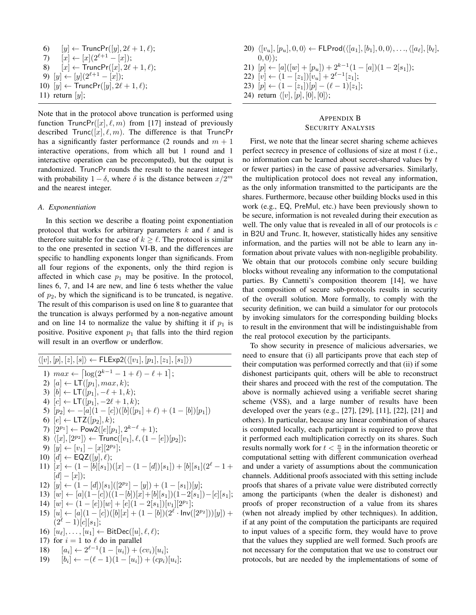6)  $[y] \leftarrow \text{TruncPr}([y], 2\ell + 1, \ell);$ 7)  $[x] \leftarrow [x](2^{\ell+1} - [x]);$ 8)  $[x] \leftarrow \text{TruncPr}([x], 2\ell + 1, \ell);$ 9)  $[y] \leftarrow [y](2^{\ell+1} - [x])$ ; 10)  $[y] \leftarrow \text{TruncPr}([y], 2\ell + 1, \ell);$ 11) return  $[y]$ ;

Note that in the protocol above truncation is performed using function TruncPr( $[x]$ ,  $\ell$ ,  $m$ ) from [17] instead of previously described  $Trunc([x], \ell, m)$ . The difference is that TruncPr has a significantly faster performance (2 rounds and  $m + 1$ interactive operations, from which all but 1 round and 1 interactive operation can be precomputed), but the output is randomized. TruncPr rounds the result to the nearest integer with probability  $1 - \delta$ , where  $\delta$  is the distance between  $x/2^m$ and the nearest integer.

#### *A. Exponentiation*

In this section we describe a floating point exponentiation protocol that works for arbitrary parameters  $k$  and  $\ell$  and is therefore suitable for the case of  $k \geq \ell$ . The protocol is similar to the one presented in section VI-B, and the differences are specific to handling exponents longer than significands. From all four regions of the exponents, only the third region is affected in which case  $p_1$  may be positive. In the protocol, lines 6, 7, and 14 are new, and line 6 tests whether the value of  $p_2$ , by which the significand is to be truncated, is negative. The result of this comparison is used on line 8 to guarantee that the truncation is always performed by a non-negative amount and on line 14 to normalize the value by shifting it if  $p_1$  is positive. Positive exponent  $p_1$  that falls into the third region will result in an overflow or underflow.

$$
\langle [v], [p], [z], [s] \rangle \leftarrow FLExp2(\langle [v_1], [p_1], [z_1], [s_1] \rangle)
$$
\n1) 
$$
max \leftarrow [\log(2^{k-1} - 1 + \ell) - \ell + 1];
$$
\n2) 
$$
[a] \leftarrow LT([p_1], max, k);
$$
\n3) 
$$
[b] \leftarrow LT([p_1], -\ell + 1, k);
$$
\n4) 
$$
[c] \leftarrow LT([p_1], -2\ell + 1, k);
$$
\n5) 
$$
[p_2] \leftarrow -[a](1 - [c])([b]([p_1] + \ell) + (1 - [b])[p_1])
$$
\n6) 
$$
[e] \leftarrow LTZ([p_2], k);
$$
\n7) 
$$
[2^{p_1}] \leftarrow Pow2([e][p_1], 2^{k-\ell} + 1);
$$
\n8) 
$$
\langle [x], [2^{p_2}] \rangle \leftarrow Trunc([v_1], \ell, (1 - [e])[p_2]);
$$
\n9) 
$$
[y] \leftarrow [v_1] - [x][2^{p_2}];
$$
\n10) 
$$
[d] \leftarrow EQZ([y], \ell);
$$
\n11) 
$$
[x] \leftarrow (1 - [b][s_1])([x] - (1 - [d])[s_1]) + [b][s_1](2^{\ell} - 1 + [d] - [x]);
$$
\n12) 
$$
[y] \leftarrow (1 - [d])[s_1]([2^{p_2}] - [y]) + (1 - [s_1])[y];
$$
\n13) 
$$
[w] \leftarrow [a](1 - [c])((1 - [b])[x] + [b][s_1])(1 - 2[s_1]) - [c][s_1];
$$
\n14) 
$$
[w] \leftarrow (1 - [e])[w] + [e](1 - 2[s_1])[v_1][2^{p_1}];
$$
\n15) 
$$
[u] \leftarrow [a](1 - [c])([b][x] + (1 - [b])(2^{\ell} \cdot Inv([2^{p_2}]))[y]) + (2^{\ell} - 1)[c][s_1];
$$
\n16) 
$$
[u_{\ell}], ..., [u_1] \leftarrow BitDec([u], \ell, \ell);
$$
\n17)  $$ 

20)  $\langle [v_u], [p_u], 0, 0 \rangle \leftarrow \mathsf{FLProd}(\langle [a_1], [b_1], 0, 0 \rangle, \dots, \langle [a_\ell], [b_\ell],$  $(0,0)$ ; 21)  $[p] \leftarrow [a]([w] + [p_u]) + 2^{k-1}(1 - [a])(1 - 2[s_1])$ ; 22)  $[v] \leftarrow (1 - [z_1])[v_u] + 2^{\ell-1}[z_1];$ 23)  $[p] \leftarrow (1 - [z_1])[p] - (\ell - 1)[z_1];$ 24) return  $\langle [v], [p], [0], [0] \rangle;$ 

# APPENDIX B SECURITY ANALYSIS

First, we note that the linear secret sharing scheme achieves perfect secrecy in presence of collusions of size at most  $t$  (i.e., no information can be learned about secret-shared values by  $t$ or fewer parties) in the case of passive adversaries. Similarly, the multiplication protocol does not reveal any information, as the only information transmitted to the participants are the shares. Furthermore, because other building blocks used in this work (e.g., EQ, PreMul, etc.) have been previously shown to be secure, information is not revealed during their execution as well. The only value that is revealed in all of our protocols is  $c$ in B2U and Trunc. It, however, statistically hides any sensitive information, and the parties will not be able to learn any information about private values with non-negligible probability. We obtain that our protocols combine only secure building blocks without revealing any information to the computational parties. By Cannetti's composition theorem [14], we have that composition of secure sub-protocols results in security of the overall solution. More formally, to comply with the security definition, we can build a simulator for our protocols by invoking simulators for the corresponding building blocks to result in the environment that will be indistinguishable from the real protocol execution by the participants.

To show security in presence of malicious adversaries, we need to ensure that (i) all participants prove that each step of their computation was performed correctly and that (ii) if some dishonest participants quit, others will be able to reconstruct their shares and proceed with the rest of the computation. The above is normally achieved using a verifiable secret sharing scheme (VSS), and a large number of results have been developed over the years (e.g., [27], [29], [11], [22], [21] and others). In particular, because any linear combination of shares is computed locally, each participant is required to prove that it performed each multiplication correctly on its shares. Such results normally work for  $t < \frac{n}{3}$  in the information theoretic or computational setting with different communication overhead and under a variety of assumptions about the communication channels. Additional proofs associated with this setting include proofs that shares of a private value were distributed correctly among the participants (when the dealer is dishonest) and proofs of proper reconstruction of a value from its shares (when not already implied by other techniques). In addition, if at any point of the computation the participants are required to input values of a specific form, they would have to prove that the values they supplied are well formed. Such proofs are not necessary for the computation that we use to construct our protocols, but are needed by the implementations of some of